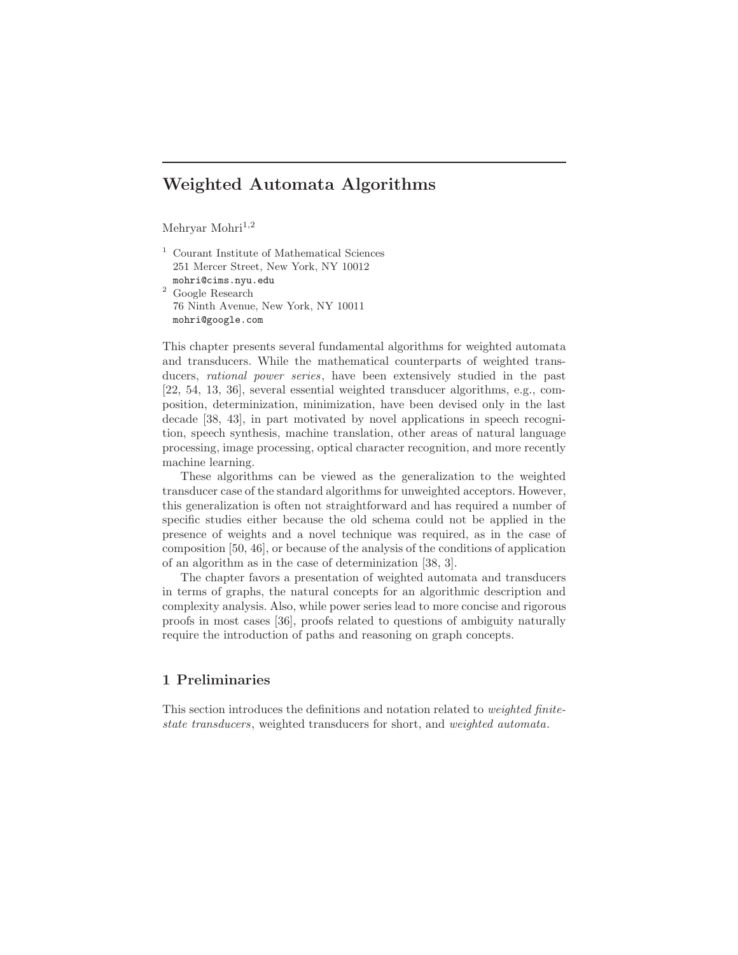# Weighted Automata Algorithms

Mehryar Mohri $^{1,2}$ 

mohri@google.com

<sup>1</sup> Courant Institute of Mathematical Sciences 251 Mercer Street, New York, NY 10012 mohri@cims.nyu.edu  $^{\rm 2}$  Google Research 76 Ninth Avenue, New York, NY 10011

This chapter presents several fundamental algorithms for weighted automata and transducers. While the mathematical counterparts of weighted transducers, *rational power series*, have been extensively studied in the past [22, 54, 13, 36], several essential weighted transducer algorithms, e.g., composition, determinization, minimization, have been devised only in the last decade [38, 43], in part motivated by novel applications in speech recognition, speech synthesis, machine translation, other areas of natural language processing, image processing, optical character recognition, and more recently machine learning.

These algorithms can be viewed as the generalization to the weighted transducer case of the standard algorithms for unweighted acceptors. However, this generalization is often not straightforward and has required a number of specific studies either because the old schema could not be applied in the presence of weights and a novel technique was required, as in the case of composition [50, 46], or because of the analysis of the conditions of application of an algorithm as in the case of determinization [38, 3].

The chapter favors a presentation of weighted automata and transducers in terms of graphs, the natural concepts for an algorithmic description and complexity analysis. Also, while power series lead to more concise and rigorous proofs in most cases [36], proofs related to questions of ambiguity naturally require the introduction of paths and reasoning on graph concepts.

# 1 Preliminaries

This section introduces the definitions and notation related to weighted finitestate transducers, weighted transducers for short, and weighted automata.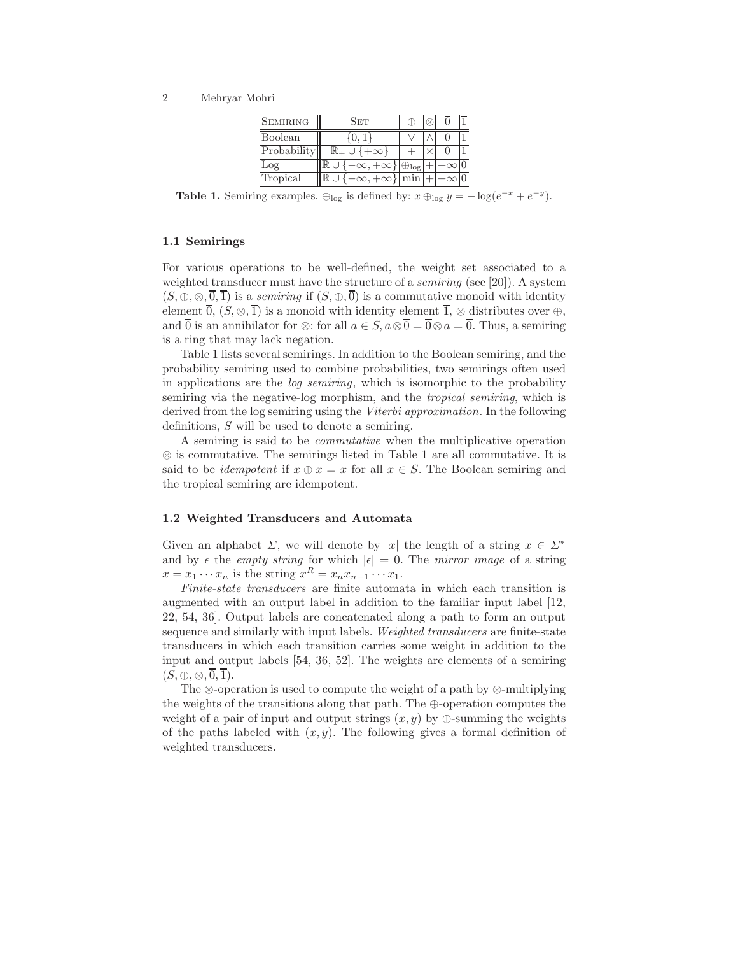### 2 Mehryar Mohri

| SEMIRING           | SET                                                                                    |  |  |
|--------------------|----------------------------------------------------------------------------------------|--|--|
| Boolean            | $\{0,1\}$                                                                              |  |  |
| <b>Probability</b> | $\mathbb{R}_+ \cup \{+\infty\}$                                                        |  |  |
| Lοg                | $\overline{\mathbb{R} \cup \{-\infty, +\infty\} \oplus_{\log}  + +\infty 0}$           |  |  |
| Tropical           | $\left \mathbb{R} \cup \{-\infty, +\infty\}\right  \min \left +\right +\infty\right 0$ |  |  |

Table 1. Semiring examples.  $\bigoplus_{\text{log}}$  is defined by:  $x \bigoplus_{\text{log}} y = -\log(e^{-x} + e^{-y})$ .

#### 1.1 Semirings

For various operations to be well-defined, the weight set associated to a weighted transducer must have the structure of a *semiring* (see [20]). A system  $(S, \oplus, \otimes, \overline{0}, \overline{1})$  is a semiring if  $(S, \oplus, \overline{0})$  is a commutative monoid with identity element  $\overline{0}$ ,  $(S, \otimes, \overline{1})$  is a monoid with identity element  $\overline{1}$ ,  $\otimes$  distributes over  $\oplus$ , and  $\overline{0}$  is an annihilator for ⊗: for all  $a \in S$ ,  $a \otimes \overline{0} = \overline{0} \otimes a = \overline{0}$ . Thus, a semiring is a ring that may lack negation.

Table 1 lists several semirings. In addition to the Boolean semiring, and the probability semiring used to combine probabilities, two semirings often used in applications are the log semiring, which is isomorphic to the probability semiring via the negative-log morphism, and the tropical semiring, which is derived from the log semiring using the Viterbi approximation. In the following definitions, S will be used to denote a semiring.

A semiring is said to be commutative when the multiplicative operation ⊗ is commutative. The semirings listed in Table 1 are all commutative. It is said to be *idempotent* if  $x \oplus x = x$  for all  $x \in S$ . The Boolean semiring and the tropical semiring are idempotent.

## 1.2 Weighted Transducers and Automata

Given an alphabet  $\Sigma$ , we will denote by |x| the length of a string  $x \in \Sigma^*$ and by  $\epsilon$  the *empty string* for which  $|\epsilon| = 0$ . The *mirror image* of a string  $x = x_1 \cdots x_n$  is the string  $x^R = x_n x_{n-1} \cdots x_1$ .

Finite-state transducers are finite automata in which each transition is augmented with an output label in addition to the familiar input label [12, 22, 54, 36]. Output labels are concatenated along a path to form an output sequence and similarly with input labels. Weighted transducers are finite-state transducers in which each transition carries some weight in addition to the input and output labels [54, 36, 52]. The weights are elements of a semiring  $(S, \oplus, \otimes, \overline{0}, \overline{1}).$ 

The ⊗-operation is used to compute the weight of a path by ⊗-multiplying the weights of the transitions along that path. The ⊕-operation computes the weight of a pair of input and output strings  $(x, y)$  by  $\oplus$ -summing the weights of the paths labeled with  $(x, y)$ . The following gives a formal definition of weighted transducers.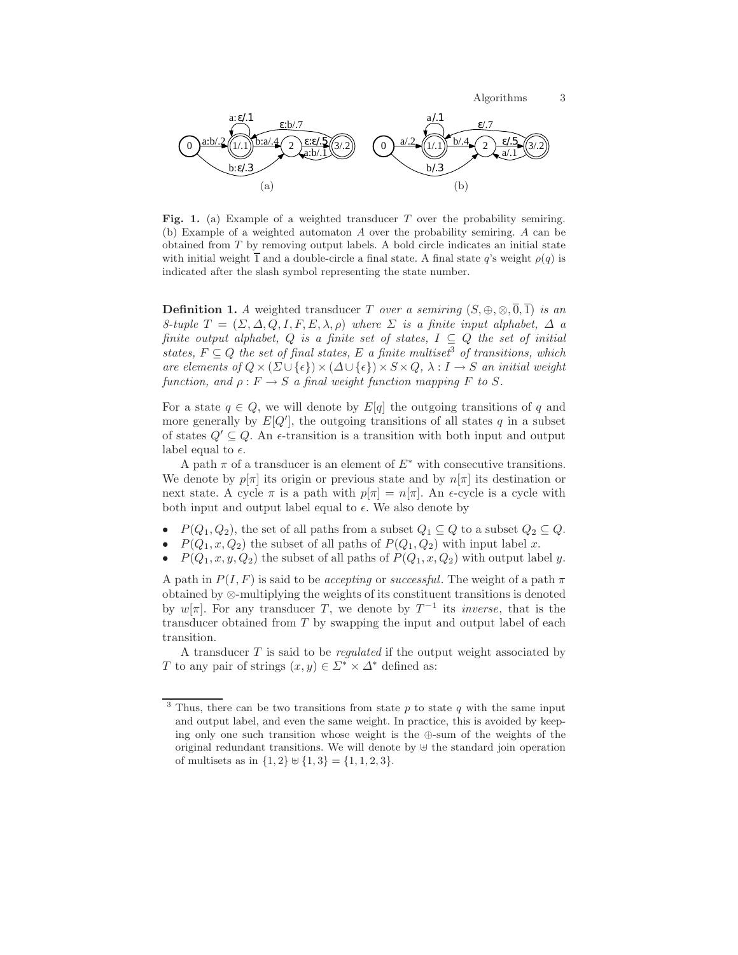

Fig. 1. (a) Example of a weighted transducer  $T$  over the probability semiring. (b) Example of a weighted automaton A over the probability semiring. A can be obtained from T by removing output labels. A bold circle indicates an initial state with initial weight  $\overline{1}$  and a double-circle a final state. A final state q's weight  $\rho(q)$  is indicated after the slash symbol representing the state number.

**Definition 1.** A weighted transducer T over a semiring  $(S, \oplus, \otimes, \overline{0}, \overline{1})$  is an 8-tuple  $T = (\Sigma, \Delta, Q, I, F, E, \lambda, \rho)$  where  $\Sigma$  is a finite input alphabet,  $\Delta$  a finite output alphabet, Q is a finite set of states,  $I \subseteq Q$  the set of initial states,  $F \subseteq Q$  the set of final states, E a finite multiset<sup>3</sup> of transitions, which are elements of  $Q \times (\Sigma \cup \{\epsilon\}) \times (\Delta \cup \{\epsilon\}) \times S \times Q$ ,  $\lambda : I \to S$  an initial weight function, and  $\rho: F \to S$  a final weight function mapping F to S.

For a state  $q \in Q$ , we will denote by  $E[q]$  the outgoing transitions of q and more generally by  $E[Q']$ , the outgoing transitions of all states q in a subset of states  $Q' \subseteq Q$ . An  $\epsilon$ -transition is a transition with both input and output label equal to  $\epsilon$ .

A path  $\pi$  of a transducer is an element of  $E^*$  with consecutive transitions. We denote by  $p[\pi]$  its origin or previous state and by  $n[\pi]$  its destination or next state. A cycle  $\pi$  is a path with  $p[\pi] = n[\pi]$ . An  $\epsilon$ -cycle is a cycle with both input and output label equal to  $\epsilon$ . We also denote by

- $P(Q_1, Q_2)$ , the set of all paths from a subset  $Q_1 \subseteq Q$  to a subset  $Q_2 \subseteq Q$ .
- $P(Q_1, x, Q_2)$  the subset of all paths of  $P(Q_1, Q_2)$  with input label x.
- $P(Q_1, x, y, Q_2)$  the subset of all paths of  $P(Q_1, x, Q_2)$  with output label y.

A path in  $P(I, F)$  is said to be *accepting* or *successful*. The weight of a path  $\pi$ obtained by ⊗-multiplying the weights of its constituent transitions is denoted by  $w[\pi]$ . For any transducer T, we denote by  $T^{-1}$  its *inverse*, that is the transducer obtained from  $T$  by swapping the input and output label of each transition.

A transducer T is said to be regulated if the output weight associated by T to any pair of strings  $(x, y) \in \Sigma^* \times \Delta^*$  defined as:

Thus, there can be two transitions from state  $p$  to state  $q$  with the same input and output label, and even the same weight. In practice, this is avoided by keeping only one such transition whose weight is the ⊕-sum of the weights of the original redundant transitions. We will denote by ⊎ the standard join operation of multisets as in  $\{1,2\} \cup \{1,3\} = \{1,1,2,3\}.$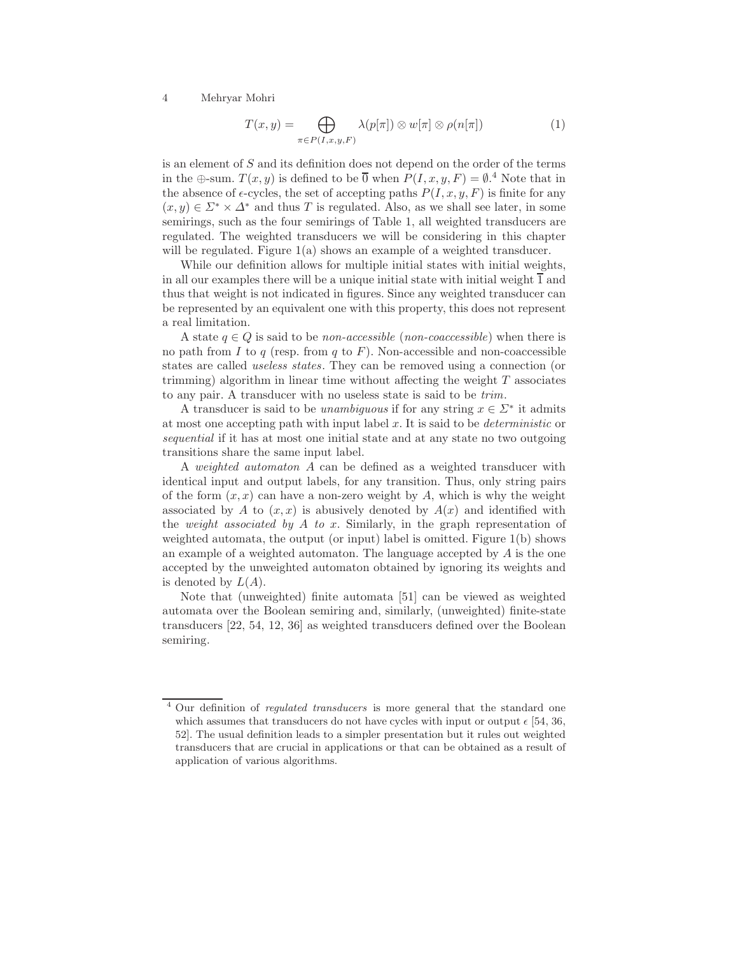4 Mehryar Mohri

$$
T(x,y) = \bigoplus_{\pi \in P(I,x,y,F)} \lambda(p[\pi]) \otimes w[\pi] \otimes \rho(n[\pi]) \tag{1}
$$

is an element of S and its definition does not depend on the order of the terms in the  $\oplus$ -sum.  $T(x, y)$  is defined to be  $\overline{0}$  when  $P(I, x, y, F) = \emptyset$ .<sup>4</sup> Note that in the absence of  $\epsilon$ -cycles, the set of accepting paths  $P(I, x, y, F)$  is finite for any  $(x, y) \in \Sigma^* \times \Delta^*$  and thus T is regulated. Also, as we shall see later, in some semirings, such as the four semirings of Table 1, all weighted transducers are regulated. The weighted transducers we will be considering in this chapter will be regulated. Figure  $1(a)$  shows an example of a weighted transducer.

While our definition allows for multiple initial states with initial weights, in all our examples there will be a unique initial state with initial weight  $\overline{1}$  and thus that weight is not indicated in figures. Since any weighted transducer can be represented by an equivalent one with this property, this does not represent a real limitation.

A state  $q \in Q$  is said to be *non-accessible* (*non-coaccessible*) when there is no path from I to q (resp. from q to F). Non-accessible and non-coaccessible states are called useless states. They can be removed using a connection (or trimming) algorithm in linear time without affecting the weight  $T$  associates to any pair. A transducer with no useless state is said to be trim.

A transducer is said to be *unambiguous* if for any string  $x \in \Sigma^*$  it admits at most one accepting path with input label  $x$ . It is said to be *deterministic* or sequential if it has at most one initial state and at any state no two outgoing transitions share the same input label.

A weighted automaton A can be defined as a weighted transducer with identical input and output labels, for any transition. Thus, only string pairs of the form  $(x, x)$  can have a non-zero weight by A, which is why the weight associated by A to  $(x, x)$  is abusively denoted by  $A(x)$  and identified with the weight associated by  $A$  to  $x$ . Similarly, in the graph representation of weighted automata, the output (or input) label is omitted. Figure 1(b) shows an example of a weighted automaton. The language accepted by  $A$  is the one accepted by the unweighted automaton obtained by ignoring its weights and is denoted by  $L(A)$ .

Note that (unweighted) finite automata [51] can be viewed as weighted automata over the Boolean semiring and, similarly, (unweighted) finite-state transducers [22, 54, 12, 36] as weighted transducers defined over the Boolean semiring.

Our definition of *regulated transducers* is more general that the standard one which assumes that transducers do not have cycles with input or output  $\epsilon$  [54, 36, 52]. The usual definition leads to a simpler presentation but it rules out weighted transducers that are crucial in applications or that can be obtained as a result of application of various algorithms.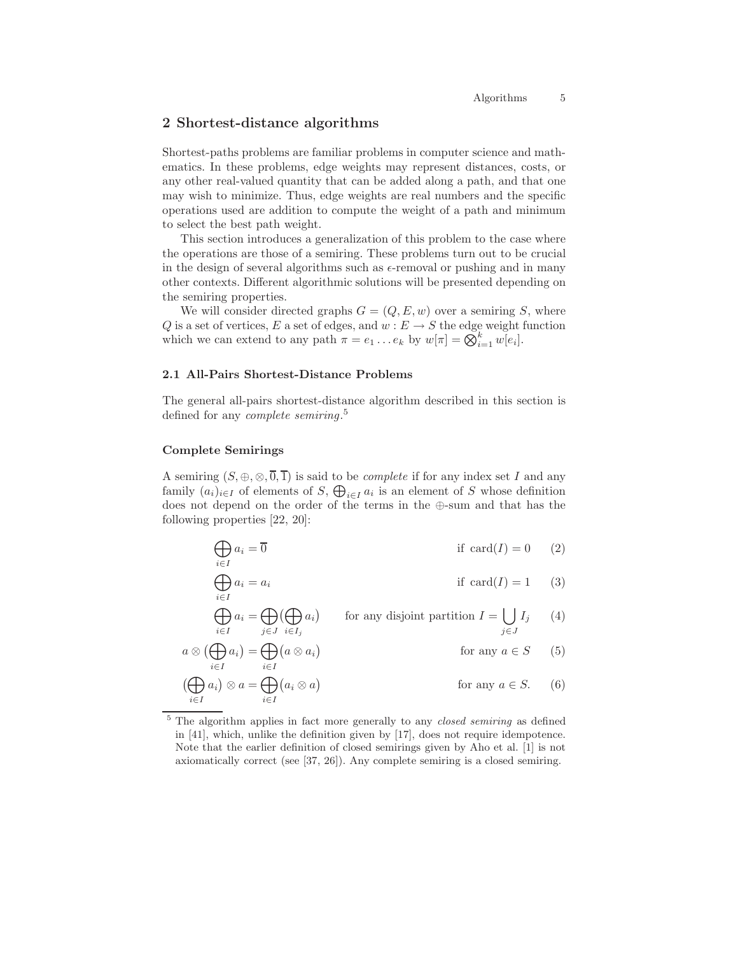# 2 Shortest-distance algorithms

Shortest-paths problems are familiar problems in computer science and mathematics. In these problems, edge weights may represent distances, costs, or any other real-valued quantity that can be added along a path, and that one may wish to minimize. Thus, edge weights are real numbers and the specific operations used are addition to compute the weight of a path and minimum to select the best path weight.

This section introduces a generalization of this problem to the case where the operations are those of a semiring. These problems turn out to be crucial in the design of several algorithms such as  $\epsilon$ -removal or pushing and in many other contexts. Different algorithmic solutions will be presented depending on the semiring properties.

We will consider directed graphs  $G = (Q, E, w)$  over a semiring S, where Q is a set of vertices, E a set of edges, and  $w : E \to S$  the edge weight function which we can extend to any path  $\pi = e_1 \dots e_k$  by  $w[\pi] = \bigotimes_{i=1}^k w[e_i].$ 

#### 2.1 All-Pairs Shortest-Distance Problems

The general all-pairs shortest-distance algorithm described in this section is defined for any *complete semiring*.<sup>5</sup>

### Complete Semirings

A semiring  $(S, \oplus, \otimes, \overline{0}, \overline{1})$  is said to be *complete* if for any index set I and any family  $(a_i)_{i\in I}$  of elements of  $S$ ,  $\bigoplus_{i\in I} a_i$  is an element of S whose definition does not depend on the order of the terms in the ⊕-sum and that has the following properties [22, 20]:

$$
\bigoplus_{i \in I} a_i = \overline{0} \qquad \qquad \text{if } \operatorname{card}(I) = 0 \qquad (2)
$$

$$
\bigoplus_{i \in I} a_i = a_i \qquad \qquad \text{if } \operatorname{card}(I) = 1 \qquad (3)
$$

$$
\bigoplus_{i \in I} a_i = \bigoplus_{j \in J} (\bigoplus_{i \in I_j} a_i) \qquad \text{for any disjoint partition } I = \bigcup_{j \in J} I_j \qquad (4)
$$

$$
a \otimes (\bigoplus_{i \in I} a_i) = \bigoplus_{i \in I} (a \otimes a_i) \qquad \text{for any } a \in S \qquad (5)
$$

$$
\left(\bigoplus_{i\in I} a_i\right)\otimes a = \bigoplus_{i\in I} \left(a_i\otimes a\right) \qquad \text{for any } a\in S. \qquad (6)
$$

The algorithm applies in fact more generally to any *closed semiring* as defined in [41], which, unlike the definition given by [17], does not require idempotence. Note that the earlier definition of closed semirings given by Aho et al. [1] is not axiomatically correct (see [37, 26]). Any complete semiring is a closed semiring.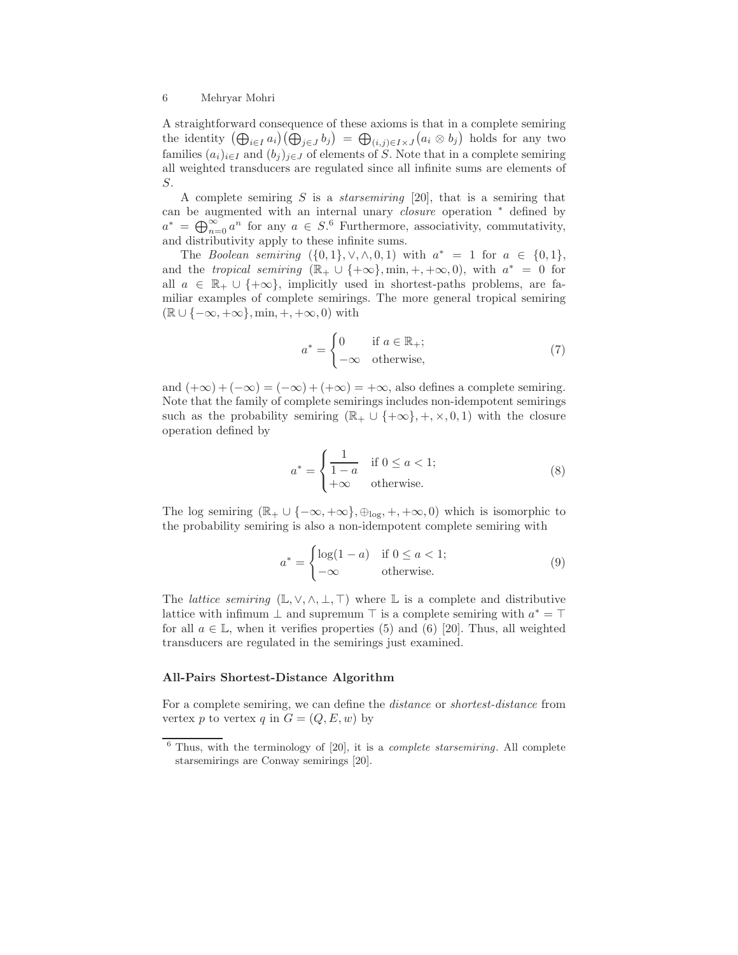A straightforward consequence of these axioms is that in a complete semiring the identity  $(\bigoplus_{i\in I}a_i)(\bigoplus_{j\in J}b_j) = \bigoplus_{(i,j)\in I\times J}(a_i\otimes b_j)$  holds for any two families  $(a_i)_{i\in I}$  and  $(b_i)_{i\in J}$  of elements of S. Note that in a complete semiring all weighted transducers are regulated since all infinite sums are elements of S.

A complete semiring  $S$  is a *starsemiring* [20], that is a semiring that can be augmented with an internal unary closure operation <sup>∗</sup> defined by  $a^* = \bigoplus_{n=0}^{\infty} a^n$  for any  $a \in S^6$  Furthermore, associativity, commutativity, and distributivity apply to these infinite sums.

The *Boolean semiring*  $({0,1}, \vee, \wedge, 0, 1)$  with  $a^* = 1$  for  $a \in \{0,1\},\$ and the tropical semiring  $(\mathbb{R}_{+} \cup \{+\infty\}, \min, +, +\infty, 0)$ , with  $a^* = 0$  for all  $a \in \mathbb{R}_+ \cup \{+\infty\}$ , implicitly used in shortest-paths problems, are familiar examples of complete semirings. The more general tropical semiring  $(\mathbb{R} \cup \{-\infty, +\infty\}, \min, +, +\infty, 0)$  with

$$
a^* = \begin{cases} 0 & \text{if } a \in \mathbb{R}_+; \\ -\infty & \text{otherwise,} \end{cases}
$$
 (7)

and  $(+\infty)+(-\infty)=(-\infty)+(+\infty)=+\infty$ , also defines a complete semiring. Note that the family of complete semirings includes non-idempotent semirings such as the probability semiring  $(\mathbb{R}_{+} \cup \{+\infty\}, +, \times, 0, 1)$  with the closure operation defined by

$$
a^* = \begin{cases} \frac{1}{1-a} & \text{if } 0 \le a < 1; \\ +\infty & \text{otherwise.} \end{cases}
$$
 (8)

The log semiring  $(\mathbb{R}_+ \cup \{-\infty, +\infty\}, \oplus_{\log}, +, +\infty, 0)$  which is isomorphic to the probability semiring is also a non-idempotent complete semiring with

$$
a^* = \begin{cases} \log(1 - a) & \text{if } 0 \le a < 1; \\ -\infty & \text{otherwise.} \end{cases}
$$
 (9)

The *lattice semiring*  $(L, \vee, \wedge, \bot, \top)$  where  $\mathbb L$  is a complete and distributive lattice with infimum  $\perp$  and supremum  $\top$  is a complete semiring with  $a^* = \top$ for all  $a \in \mathbb{L}$ , when it verifies properties (5) and (6) [20]. Thus, all weighted transducers are regulated in the semirings just examined.

### All-Pairs Shortest-Distance Algorithm

For a complete semiring, we can define the *distance* or *shortest-distance* from vertex p to vertex q in  $G = (Q, E, w)$  by

Thus, with the terminology of [20], it is a *complete starsemiring*. All complete starsemirings are Conway semirings [20].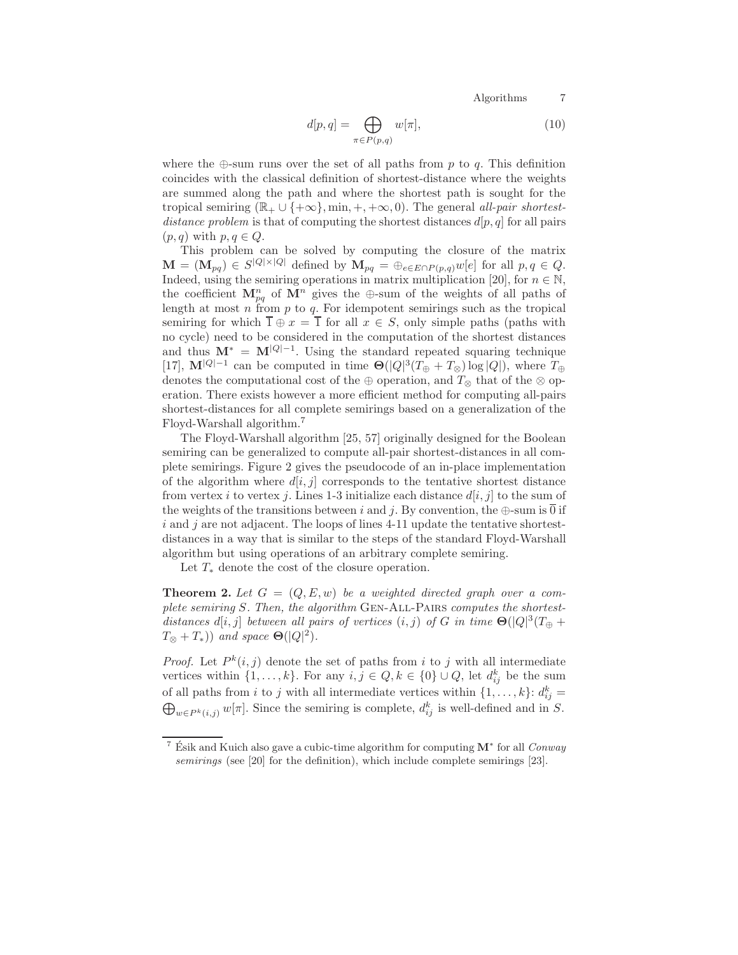Algorithms 7

$$
d[p, q] = \bigoplus_{\pi \in P(p, q)} w[\pi], \tag{10}
$$

where the  $\oplus$ -sum runs over the set of all paths from p to q. This definition coincides with the classical definition of shortest-distance where the weights are summed along the path and where the shortest path is sought for the tropical semiring  $(\mathbb{R}_{+} \cup \{+\infty\}, \min, +, +\infty, 0)$ . The general *all-pair shortest*distance problem is that of computing the shortest distances  $d[p, q]$  for all pairs  $(p, q)$  with  $p, q \in Q$ .

This problem can be solved by computing the closure of the matrix  $\mathbf{M} = (\mathbf{M}_{pq}) \in S^{|Q| \times |Q|}$  defined by  $\mathbf{M}_{pq} = \bigoplus_{e \in E \cap P(p,q)} w[e]$  for all  $p, q \in Q$ . Indeed, using the semiring operations in matrix multiplication [20], for  $n \in \mathbb{N}$ , the coefficient  $\mathbf{M}_{pq}^n$  of  $\mathbf{M}^n$  gives the ⊕-sum of the weights of all paths of length at most  $n$  from  $p$  to  $q$ . For idempotent semirings such as the tropical semiring for which  $\overline{1} \oplus x = \overline{1}$  for all  $x \in S$ , only simple paths (paths with no cycle) need to be considered in the computation of the shortest distances and thus  $M^* = M^{|Q|-1}$ . Using the standard repeated squaring technique [17],  $\mathbf{M}^{|Q|-1}$  can be computed in time  $\mathbf{\Theta}(|Q|^3(T_\oplus + T_\otimes) \log |Q|)$ , where  $T_\oplus$ denotes the computational cost of the ⊕ operation, and  $T_{\otimes}$  that of the  $\otimes$  operation. There exists however a more efficient method for computing all-pairs shortest-distances for all complete semirings based on a generalization of the Floyd-Warshall algorithm.<sup>7</sup>

The Floyd-Warshall algorithm [25, 57] originally designed for the Boolean semiring can be generalized to compute all-pair shortest-distances in all complete semirings. Figure 2 gives the pseudocode of an in-place implementation of the algorithm where  $d[i, j]$  corresponds to the tentative shortest distance from vertex i to vertex j. Lines 1-3 initialize each distance  $d[i, j]$  to the sum of the weights of the transitions between i and j. By convention, the  $\oplus$ -sum is  $\overline{0}$  if  $i$  and  $j$  are not adjacent. The loops of lines 4-11 update the tentative shortestdistances in a way that is similar to the steps of the standard Floyd-Warshall algorithm but using operations of an arbitrary complete semiring.

Let  $T_*$  denote the cost of the closure operation.

**Theorem 2.** Let  $G = (Q, E, w)$  be a weighted directed graph over a complete semiring S. Then, the algorithm GEN-ALL-PAIRS computes the shortestdistances d[i, j] between all pairs of vertices  $(i, j)$  of G in time  $\Theta(|Q|^3(T_{\oplus} +$  $T_{\otimes} + T_{\ast}$ ) and space  $\Theta(|Q|^2)$ .

*Proof.* Let  $P^k(i, j)$  denote the set of paths from i to j with all intermediate vertices within  $\{1, \ldots, k\}$ . For any  $i, j \in Q, k \in \{0\} \cup Q$ , let  $d_{ij}^k$  be the sum of all paths from *i* to *j* with all intermediate vertices within  $\{1, \ldots, k\}$ :  $d_{ij}^k =$  $\bigoplus_{w \in P^k(i,j)} w[\pi]$ . Since the semiring is complete,  $d_{ij}^k$  is well-defined and in S.

<sup>&</sup>lt;sup>7</sup> Ésik and Kuich also gave a cubic-time algorithm for computing  $M^*$  for all *Conway* semirings (see [20] for the definition), which include complete semirings [23].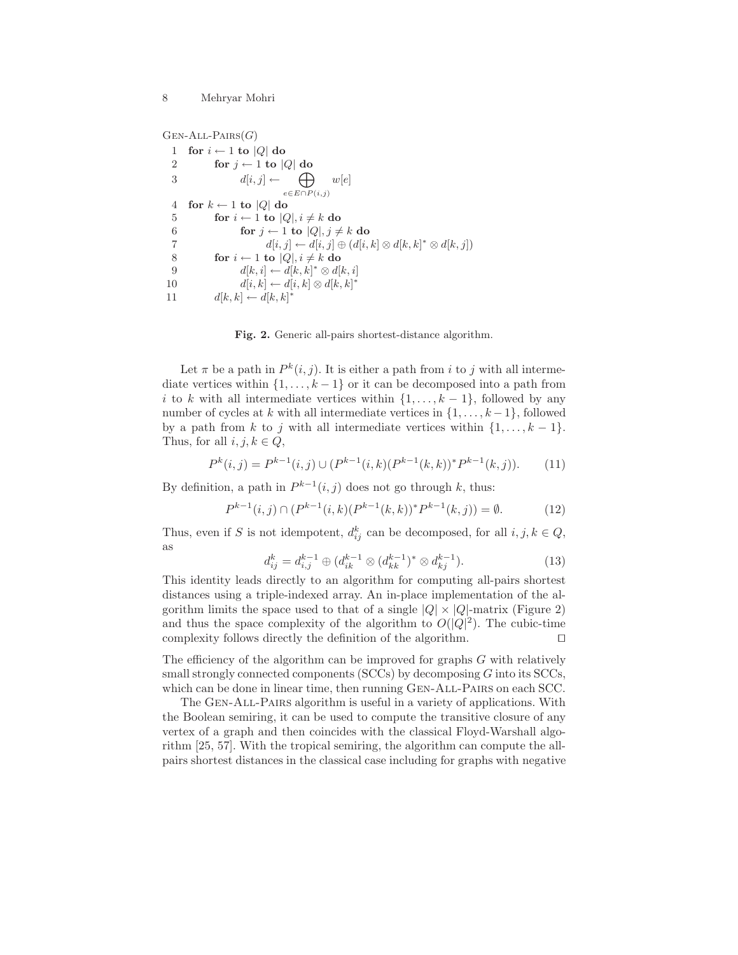$Gen-ALL-PAIRS(G)$ 1 for  $i \leftarrow 1$  to  $|Q|$  do 2 for  $j \leftarrow 1$  to  $|Q|$  do 3  $d[i, j] \leftarrow \bigoplus$  $e \in E \cap P(i,j)$  $w[e]$ 4 for  $k \leftarrow 1$  to |Q| do 5 for  $i \leftarrow 1$  to  $|Q|, i \neq k$  do 6 for  $j \leftarrow 1$  to  $|Q|, j \neq k$  do 7  $d[i, j] \leftarrow d[i, j] \oplus (d[i, k] \otimes d[k, k]^* \otimes d[k, j])$ 8 for  $i \leftarrow 1$  to  $|Q|, i \neq k$  do 9  $d[k, i] \leftarrow d[k, k]^* \otimes d[k, i]$ 10  $d[i, k] \leftarrow d[i, k] \otimes d[k, k]^*$ 11  $d[k,k] \leftarrow d[k,k]^*$ 

Fig. 2. Generic all-pairs shortest-distance algorithm.

Let  $\pi$  be a path in  $P^k(i, j)$ . It is either a path from i to j with all intermediate vertices within  $\{1, \ldots, k-1\}$  or it can be decomposed into a path from i to k with all intermediate vertices within  $\{1, \ldots, k-1\}$ , followed by any number of cycles at k with all intermediate vertices in  $\{1, \ldots, k-1\}$ , followed by a path from k to j with all intermediate vertices within  $\{1, \ldots, k-1\}$ . Thus, for all  $i, j, k \in Q$ ,

$$
P^{k}(i,j) = P^{k-1}(i,j) \cup (P^{k-1}(i,k)(P^{k-1}(k,k))^{*}P^{k-1}(k,j)).
$$
 (11)

By definition, a path in  $P^{k-1}(i, j)$  does not go through k, thus:

$$
P^{k-1}(i,j) \cap (P^{k-1}(i,k)(P^{k-1}(k,k))^* P^{k-1}(k,j)) = \emptyset.
$$
 (12)

Thus, even if S is not idempotent,  $d_{ij}^k$  can be decomposed, for all  $i, j, k \in Q$ , as

$$
d_{ij}^k = d_{i,j}^{k-1} \oplus (d_{ik}^{k-1} \otimes (d_{kk}^{k-1})^* \otimes d_{kj}^{k-1}).
$$
\n(13)

This identity leads directly to an algorithm for computing all-pairs shortest distances using a triple-indexed array. An in-place implementation of the algorithm limits the space used to that of a single  $|Q| \times |Q|$ -matrix (Figure 2) and thus the space complexity of the algorithm to  $O(|Q|^2)$ . The cubic-time complexity follows directly the definition of the algorithm. ⊓⊔

The efficiency of the algorithm can be improved for graphs  $G$  with relatively small strongly connected components (SCCs) by decomposing G into its SCCs, which can be done in linear time, then running GEN-ALL-PAIRS on each SCC.

The Gen-All-Pairs algorithm is useful in a variety of applications. With the Boolean semiring, it can be used to compute the transitive closure of any vertex of a graph and then coincides with the classical Floyd-Warshall algorithm [25, 57]. With the tropical semiring, the algorithm can compute the allpairs shortest distances in the classical case including for graphs with negative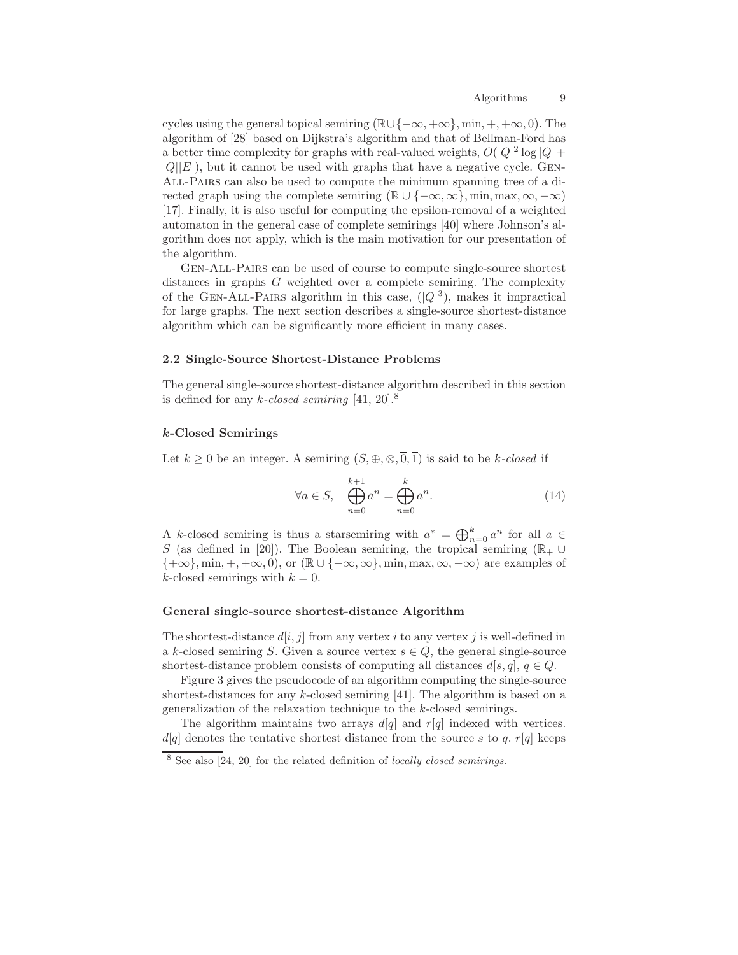cycles using the general topical semiring ( $\mathbb{R}\cup\{-\infty, +\infty\}$ , min,  $+, +\infty, 0$ ). The algorithm of [28] based on Dijkstra's algorithm and that of Bellman-Ford has a better time complexity for graphs with real-valued weights,  $O(|Q|^2 \log |Q| +$  $|Q||E|$ , but it cannot be used with graphs that have a negative cycle. GEN-All-Pairs can also be used to compute the minimum spanning tree of a directed graph using the complete semiring ( $\mathbb{R} \cup \{-\infty, \infty\}$ , min, max,  $\infty, -\infty$ ) [17]. Finally, it is also useful for computing the epsilon-removal of a weighted automaton in the general case of complete semirings [40] where Johnson's algorithm does not apply, which is the main motivation for our presentation of the algorithm.

Gen-All-Pairs can be used of course to compute single-source shortest distances in graphs G weighted over a complete semiring. The complexity of the GEN-ALL-PAIRS algorithm in this case,  $(|Q|^3)$ , makes it impractical for large graphs. The next section describes a single-source shortest-distance algorithm which can be significantly more efficient in many cases.

### 2.2 Single-Source Shortest-Distance Problems

The general single-source shortest-distance algorithm described in this section is defined for any k-closed semiring [41, 20].<sup>8</sup>

### k-Closed Semirings

Let  $k \geq 0$  be an integer. A semiring  $(S, \oplus, \otimes, \overline{0}, \overline{1})$  is said to be k-closed if

$$
\forall a \in S, \quad \bigoplus_{n=0}^{k+1} a^n = \bigoplus_{n=0}^k a^n. \tag{14}
$$

A k-closed semiring is thus a starsemiring with  $a^* = \bigoplus_{n=0}^k a^n$  for all  $a \in$ S (as defined in [20]). The Boolean semiring, the tropical semiring ( $\mathbb{R}_+ \cup$  $\{+\infty\}, \min, +, +\infty, 0$ , or  $(\mathbb{R} \cup \{-\infty, \infty\}, \min, \max, \infty, -\infty)$  are examples of k-closed semirings with  $k = 0$ .

### General single-source shortest-distance Algorithm

The shortest-distance  $d[i, j]$  from any vertex i to any vertex j is well-defined in a k-closed semiring S. Given a source vertex  $s \in Q$ , the general single-source shortest-distance problem consists of computing all distances  $d[s, q], q \in Q$ .

Figure 3 gives the pseudocode of an algorithm computing the single-source shortest-distances for any  $k$ -closed semiring [41]. The algorithm is based on a generalization of the relaxation technique to the k-closed semirings.

The algorithm maintains two arrays  $d[q]$  and  $r[q]$  indexed with vertices.  $d[q]$  denotes the tentative shortest distance from the source s to q. r[q] keeps

 $8$  See also [24, 20] for the related definition of *locally closed semirings*.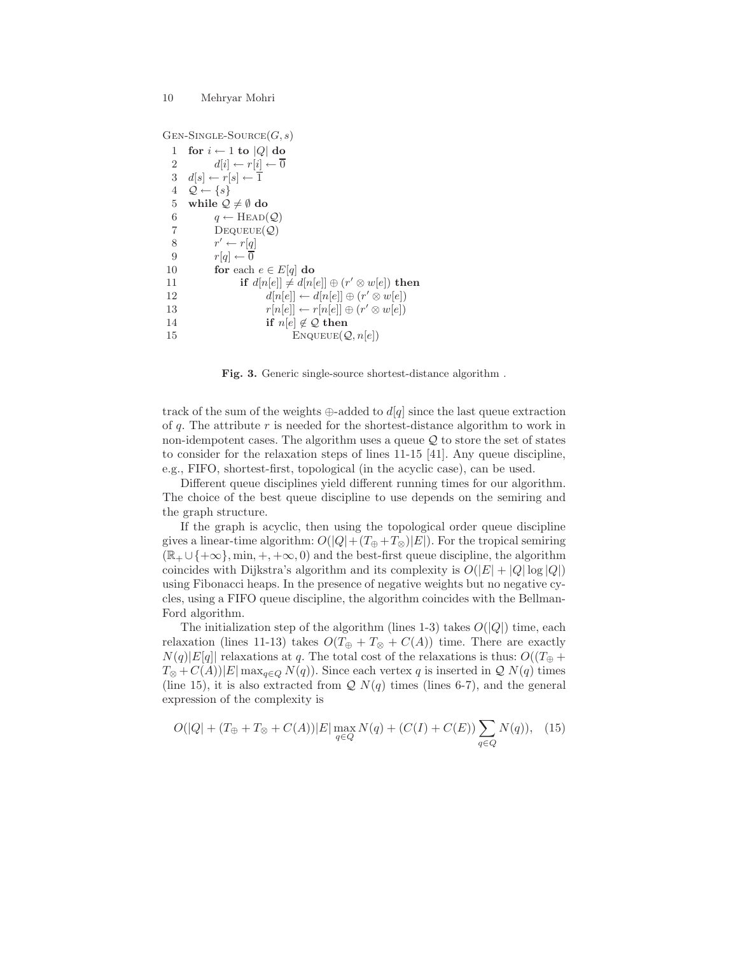$Gen-SINGLE-SOURCE(G, s)$ 

```
1 for i \leftarrow 1 to |Q| do
 2 d[i] \leftarrow r[i] \leftarrow \overline{0}3 d[s] \leftarrow r[s] \leftarrow \overline{1}4 \mathcal{Q} \leftarrow \{s\}5 while \mathcal{Q} \neq \emptyset do
 6 q \leftarrow \text{HEAD}(\mathcal{Q})7 DEQUEUE(\mathcal{Q})8 r' \leftarrow r[q]9 r[q] \leftarrow \overline{0}10 for each e \in E[q] do
11 if d[n[e]] \neq d[n[e]] \oplus (r' \otimes w[e]) then
12 d[n[e]] \leftarrow d[n[e]] \oplus (r' \otimes w[e])13 r[n[e]] \leftarrow r[n[e]] \oplus (r' \otimes w[e])14 if n[e] \notin \mathcal{Q} then
15 ENQUEUE(Q, n[e])
```
Fig. 3. Generic single-source shortest-distance algorithm .

track of the sum of the weights  $\oplus$ -added to  $d[q]$  since the last queue extraction of q. The attribute  $r$  is needed for the shortest-distance algorithm to work in non-idempotent cases. The algorithm uses a queue  $Q$  to store the set of states to consider for the relaxation steps of lines 11-15 [41]. Any queue discipline, e.g., FIFO, shortest-first, topological (in the acyclic case), can be used.

Different queue disciplines yield different running times for our algorithm. The choice of the best queue discipline to use depends on the semiring and the graph structure.

If the graph is acyclic, then using the topological order queue discipline gives a linear-time algorithm:  $O(|Q| + (T_{\oplus} + T_{\otimes})|E|)$ . For the tropical semiring  $(\mathbb{R}_{+} \cup \{+\infty\}, \min, +, +\infty, 0)$  and the best-first queue discipline, the algorithm coincides with Dijkstra's algorithm and its complexity is  $O(|E| + |Q| \log |Q|)$ using Fibonacci heaps. In the presence of negative weights but no negative cycles, using a FIFO queue discipline, the algorithm coincides with the Bellman-Ford algorithm.

The initialization step of the algorithm (lines 1-3) takes  $O(|Q|)$  time, each relaxation (lines 11-13) takes  $O(T_{\oplus} + T_{\otimes} + C(A))$  time. There are exactly  $N(q)|E[q]|$  relaxations at q. The total cost of the relaxations is thus:  $O((T_{\oplus} +$  $T_{\otimes}$  +  $C(A)$ |E| max<sub>q∈Q</sub> N(q)). Since each vertex q is inserted in Q N(q) times (line 15), it is also extracted from  $Q N(q)$  times (lines 6-7), and the general expression of the complexity is

$$
O(|Q| + (T_{\oplus} + T_{\otimes} + C(A))|E| \max_{q \in Q} N(q) + (C(I) + C(E)) \sum_{q \in Q} N(q)), \quad (15)
$$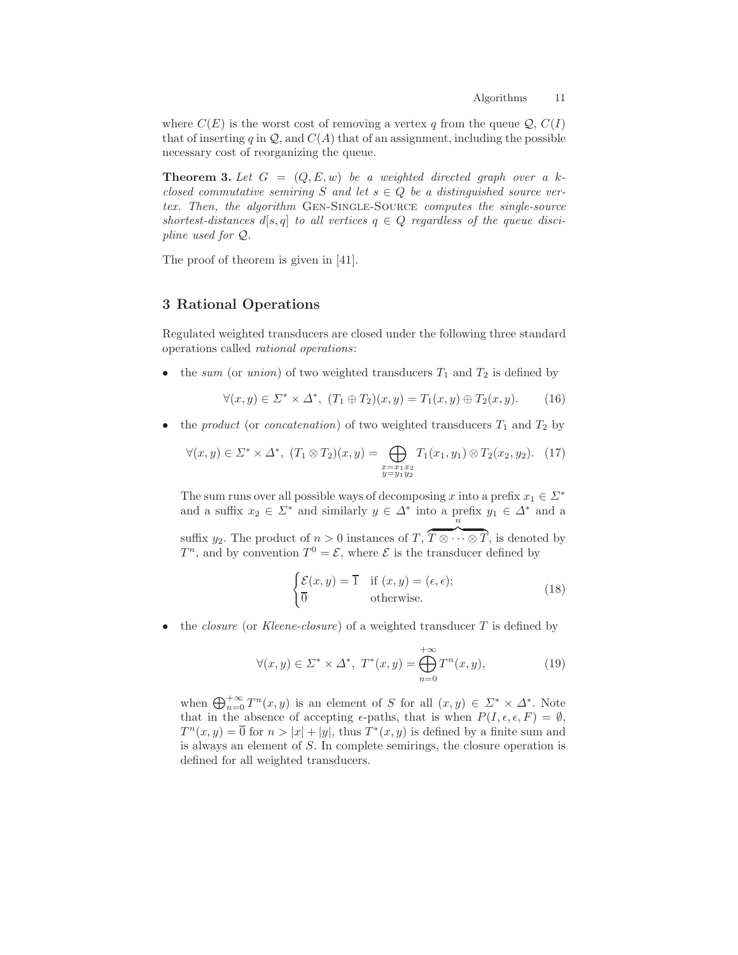where  $C(E)$  is the worst cost of removing a vertex q from the queue Q,  $C(I)$ that of inserting q in  $\mathcal{Q}$ , and  $C(A)$  that of an assignment, including the possible necessary cost of reorganizing the queue.

**Theorem 3.** Let  $G = (Q, E, w)$  be a weighted directed graph over a kclosed commutative semiring S and let  $s \in Q$  be a distinguished source vertex. Then, the algorithm Gen-Single-Source computes the single-source shortest-distances d[s, q] to all vertices  $q \in Q$  regardless of the queue discipline used for Q.

The proof of theorem is given in [41].

# 3 Rational Operations

Regulated weighted transducers are closed under the following three standard operations called rational operations:

• the sum (or union) of two weighted transducers  $T_1$  and  $T_2$  is defined by

$$
\forall (x, y) \in \Sigma^* \times \Delta^*, \ (T_1 \oplus T_2)(x, y) = T_1(x, y) \oplus T_2(x, y). \tag{16}
$$

• the product (or concatenation) of two weighted transducers  $T_1$  and  $T_2$  by

$$
\forall (x, y) \in \Sigma^* \times \Delta^*, \ (T_1 \otimes T_2)(x, y) = \bigoplus_{\substack{x = x_1 x_2 \\ y = y_1 y_2}} T_1(x_1, y_1) \otimes T_2(x_2, y_2). \tag{17}
$$

The sum runs over all possible ways of decomposing x into a prefix  $x_1 \in \mathbb{Z}^*$ and a suffix  $x_2 \in \Sigma^*$  and similarly  $y \in \Delta^*$  into a prefix  $y_1 \in \Delta^*$  and a suffix  $y_2$ . The product of  $n > 0$  instances of  $T, T \otimes \cdots \otimes T$ , is denoted by  $T^n$ , and by convention  $T^0 = \mathcal{E}$ , where  $\mathcal{E}$  is the transducer defined by

$$
\begin{cases} \mathcal{E}(x,y) = \overline{1} & \text{if } (x,y) = (\epsilon, \epsilon); \\ \overline{0} & \text{otherwise.} \end{cases}
$$
 (18)

the *closure* (or *Kleene-closure*) of a weighted transducer  $T$  is defined by

$$
\forall (x,y) \in \Sigma^* \times \Delta^*, \ T^*(x,y) = \bigoplus_{n=0}^{+\infty} T^n(x,y), \tag{19}
$$

when  $\bigoplus_{n=0}^{+\infty} T^n(x,y)$  is an element of S for all  $(x,y) \in \Sigma^* \times \Delta^*$ . Note that in the absence of accepting  $\epsilon$ -paths, that is when  $P(I, \epsilon, \epsilon, F) = \emptyset$ ,  $T^n(x, y) = \overline{0}$  for  $n > |x| + |y|$ , thus  $T^*(x, y)$  is defined by a finite sum and is always an element of S. In complete semirings, the closure operation is defined for all weighted transducers.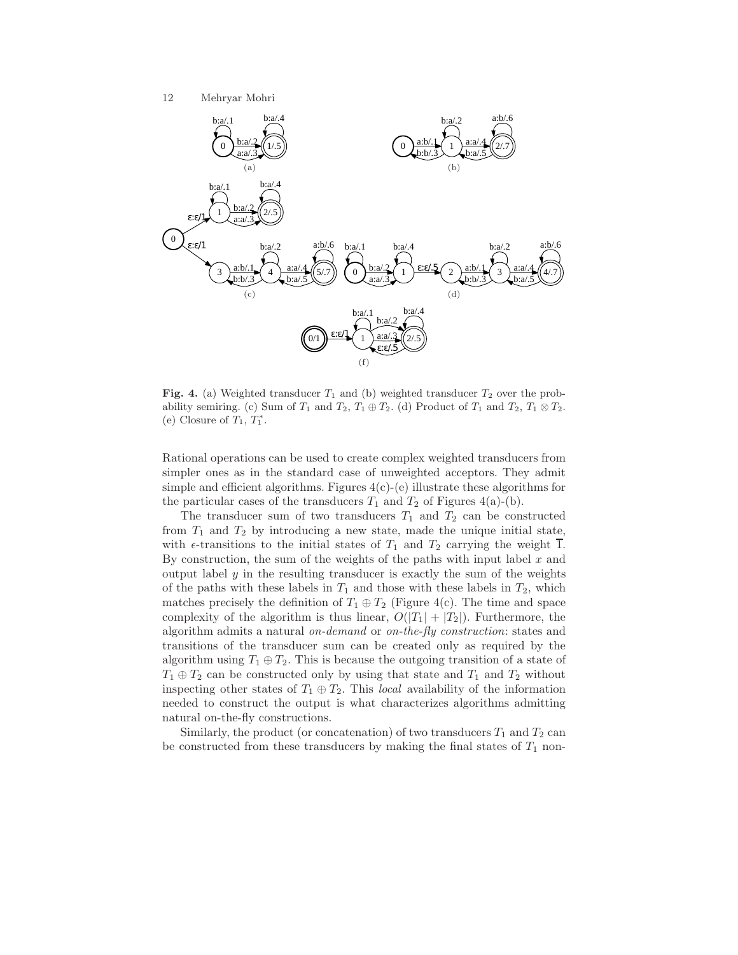

Fig. 4. (a) Weighted transducer  $T_1$  and (b) weighted transducer  $T_2$  over the probability semiring. (c) Sum of  $T_1$  and  $T_2$ ,  $T_1 \oplus T_2$ . (d) Product of  $T_1$  and  $T_2$ ,  $T_1 \otimes T_2$ . (e) Closure of  $T_1, T_1^*$ .

Rational operations can be used to create complex weighted transducers from simpler ones as in the standard case of unweighted acceptors. They admit simple and efficient algorithms. Figures  $4(c)$ -(e) illustrate these algorithms for the particular cases of the transducers  $T_1$  and  $T_2$  of Figures 4(a)-(b).

The transducer sum of two transducers  $T_1$  and  $T_2$  can be constructed from  $T_1$  and  $T_2$  by introducing a new state, made the unique initial state, with  $\epsilon$ -transitions to the initial states of  $T_1$  and  $T_2$  carrying the weight  $\overline{1}$ . By construction, the sum of the weights of the paths with input label  $x$  and output label  $y$  in the resulting transducer is exactly the sum of the weights of the paths with these labels in  $T_1$  and those with these labels in  $T_2$ , which matches precisely the definition of  $T_1 \oplus T_2$  (Figure 4(c). The time and space complexity of the algorithm is thus linear,  $O(|T_1| + |T_2|)$ . Furthermore, the algorithm admits a natural on-demand or on-the-fly construction: states and transitions of the transducer sum can be created only as required by the algorithm using  $T_1 \oplus T_2$ . This is because the outgoing transition of a state of  $T_1 \oplus T_2$  can be constructed only by using that state and  $T_1$  and  $T_2$  without inspecting other states of  $T_1 \oplus T_2$ . This *local* availability of the information needed to construct the output is what characterizes algorithms admitting natural on-the-fly constructions.

Similarly, the product (or concatenation) of two transducers  $T_1$  and  $T_2$  can be constructed from these transducers by making the final states of  $T_1$  non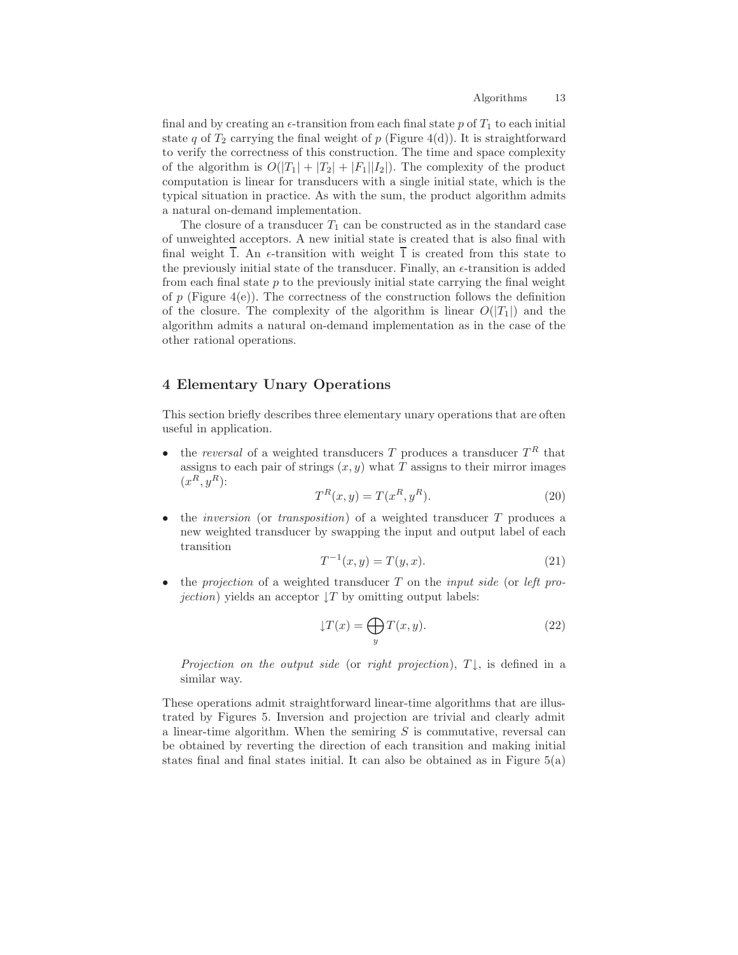final and by creating an  $\epsilon$ -transition from each final state p of  $T_1$  to each initial state q of  $T_2$  carrying the final weight of p (Figure 4(d)). It is straightforward to verify the correctness of this construction. The time and space complexity of the algorithm is  $O(|T_1| + |T_2| + |F_1||I_2|)$ . The complexity of the product computation is linear for transducers with a single initial state, which is the typical situation in practice. As with the sum, the product algorithm admits a natural on-demand implementation.

The closure of a transducer  $T_1$  can be constructed as in the standard case of unweighted acceptors. A new initial state is created that is also final with final weight  $\overline{1}$ . An  $\epsilon$ -transition with weight  $\overline{1}$  is created from this state to the previously initial state of the transducer. Finally, an  $\epsilon$ -transition is added from each final state  $p$  to the previously initial state carrying the final weight of p (Figure 4(e)). The correctness of the construction follows the definition of the closure. The complexity of the algorithm is linear  $O(|T_1|)$  and the algorithm admits a natural on-demand implementation as in the case of the other rational operations.

# 4 Elementary Unary Operations

This section briefly describes three elementary unary operations that are often useful in application.

• the reversal of a weighted transducers T produces a transducer  $T<sup>R</sup>$  that assigns to each pair of strings  $(x, y)$  what T assigns to their mirror images  $(x^R, y^R)$ :

$$
T^{R}(x,y) = T(x^{R}, y^{R}). \tag{20}
$$

the *inversion* (or *transposition*) of a weighted transducer  $T$  produces a new weighted transducer by swapping the input and output label of each transition

$$
T^{-1}(x, y) = T(y, x).
$$
 (21)

• the projection of a weighted transducer  $T$  on the *input side* (or *left projection*) yields an acceptor  $\mathcal{F}$  by omitting output labels:

$$
\downarrow T(x) = \bigoplus_{y} T(x, y). \tag{22}
$$

Projection on the output side (or right projection),  $T \downarrow$ , is defined in a similar way.

These operations admit straightforward linear-time algorithms that are illustrated by Figures 5. Inversion and projection are trivial and clearly admit a linear-time algorithm. When the semiring  $S$  is commutative, reversal can be obtained by reverting the direction of each transition and making initial states final and final states initial. It can also be obtained as in Figure 5(a)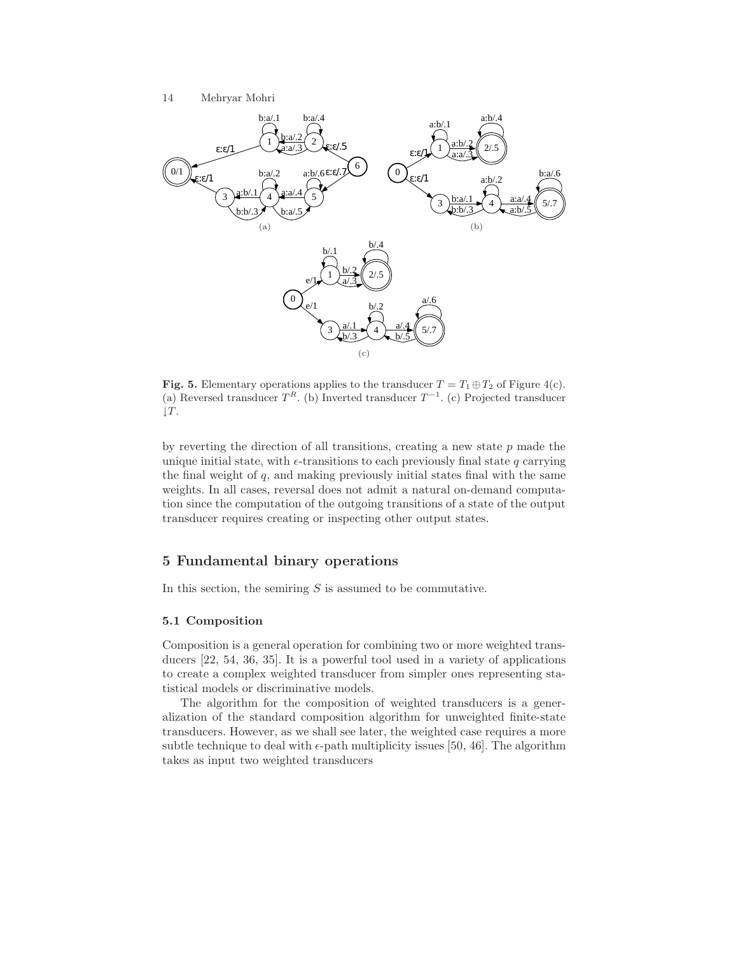

Fig. 5. Elementary operations applies to the transducer  $T = T_1 \oplus T_2$  of Figure 4(c). (a) Reversed transducer  $T<sup>R</sup>$ . (b) Inverted transducer  $T<sup>-1</sup>$ . (c) Projected transducer  $\perp T$ .

by reverting the direction of all transitions, creating a new state  $p$  made the unique initial state, with  $\epsilon$ -transitions to each previously final state q carrying the final weight of  $q$ , and making previously initial states final with the same weights. In all cases, reversal does not admit a natural on-demand computation since the computation of the outgoing transitions of a state of the output transducer requires creating or inspecting other output states.

# 5 Fundamental binary operations

In this section, the semiring  $S$  is assumed to be commutative.

### 5.1 Composition

Composition is a general operation for combining two or more weighted transducers [22, 54, 36, 35]. It is a powerful tool used in a variety of applications to create a complex weighted transducer from simpler ones representing statistical models or discriminative models.

The algorithm for the composition of weighted transducers is a generalization of the standard composition algorithm for unweighted finite-state transducers. However, as we shall see later, the weighted case requires a more subtle technique to deal with  $\epsilon$ -path multiplicity issues [50, 46]. The algorithm takes as input two weighted transducers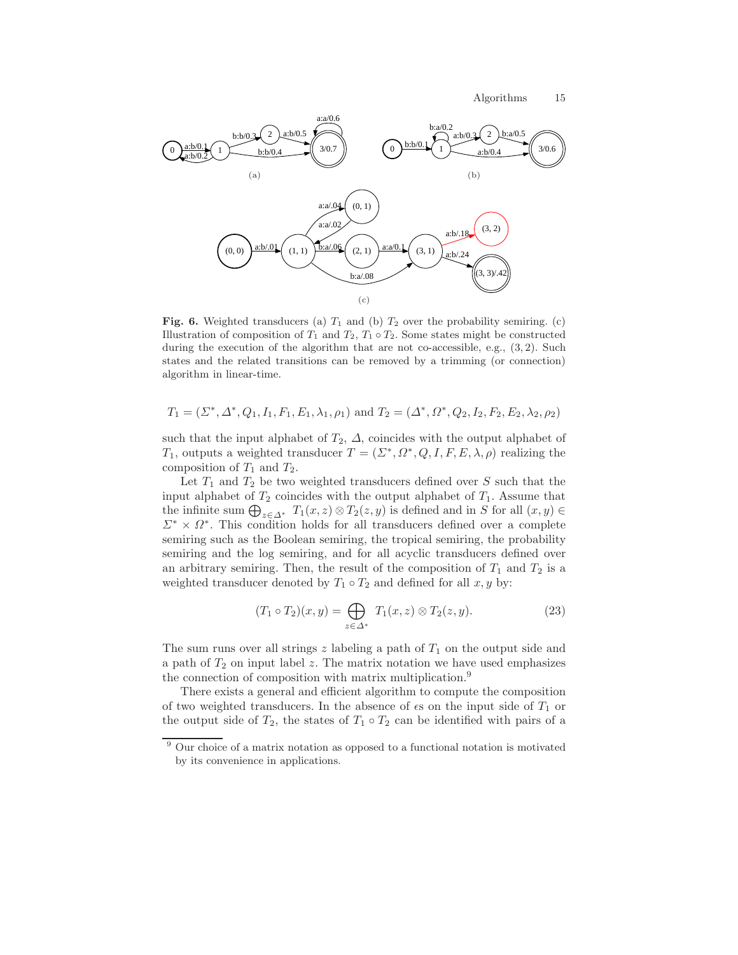

**Fig. 6.** Weighted transducers (a)  $T_1$  and (b)  $T_2$  over the probability semiring. (c) Illustration of composition of  $T_1$  and  $T_2$ ,  $T_1 \circ T_2$ . Some states might be constructed during the execution of the algorithm that are not co-accessible, e.g.,  $(3, 2)$ . Such states and the related transitions can be removed by a trimming (or connection) algorithm in linear-time.

 $T_1 = (\Sigma^*, \Delta^*, Q_1, I_1, F_1, E_1, \lambda_1, \rho_1)$  and  $T_2 = (\Delta^*, \Omega^*, Q_2, I_2, F_2, E_2, \lambda_2, \rho_2)$ 

such that the input alphabet of  $T_2$ ,  $\Delta$ , coincides with the output alphabet of T<sub>1</sub>, outputs a weighted transducer  $T = (\Sigma^*, \Omega^*, Q, I, F, E, \lambda, \rho)$  realizing the composition of  $T_1$  and  $T_2$ .

Let  $T_1$  and  $T_2$  be two weighted transducers defined over S such that the input alphabet of  $T_2$  coincides with the output alphabet of  $T_1$ . Assume that the infinite sum  $\bigoplus_{z\in\Delta^*} T_1(x,z)\otimes T_2(z,y)$  is defined and in S for all  $(x,y)\in$  $\Sigma^* \times \Omega^*$ . This condition holds for all transducers defined over a complete semiring such as the Boolean semiring, the tropical semiring, the probability semiring and the log semiring, and for all acyclic transducers defined over an arbitrary semiring. Then, the result of the composition of  $T_1$  and  $T_2$  is a weighted transducer denoted by  $T_1 \circ T_2$  and defined for all  $x, y$  by:

$$
(T_1 \circ T_2)(x, y) = \bigoplus_{z \in \Delta^*} T_1(x, z) \otimes T_2(z, y). \tag{23}
$$

The sum runs over all strings  $z$  labeling a path of  $T_1$  on the output side and a path of  $T_2$  on input label z. The matrix notation we have used emphasizes the connection of composition with matrix multiplication.<sup>9</sup>

There exists a general and efficient algorithm to compute the composition of two weighted transducers. In the absence of  $\epsilon$ s on the input side of  $T_1$  or the output side of  $T_2$ , the states of  $T_1 \circ T_2$  can be identified with pairs of a

 $9$  Our choice of a matrix notation as opposed to a functional notation is motivated by its convenience in applications.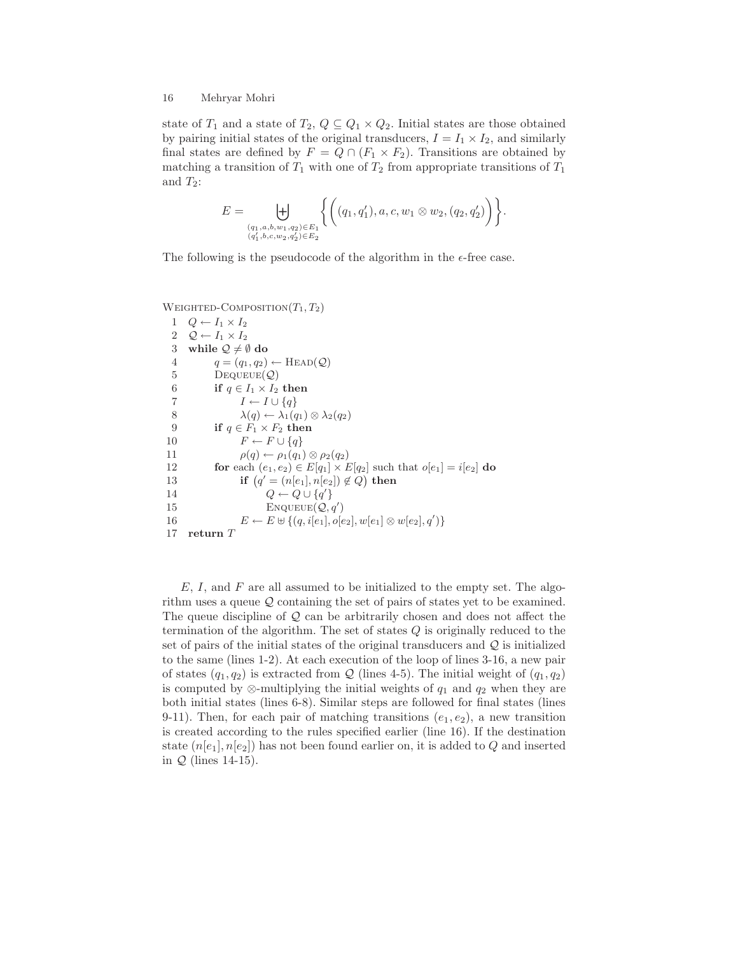#### 16 Mehryar Mohri

state of  $T_1$  and a state of  $T_2$ ,  $Q \subseteq Q_1 \times Q_2$ . Initial states are those obtained by pairing initial states of the original transducers,  $I = I_1 \times I_2$ , and similarly final states are defined by  $F = Q \cap (F_1 \times F_2)$ . Transitions are obtained by matching a transition of  $T_1$  with one of  $T_2$  from appropriate transitions of  $T_1$ and  $T_2$ :

$$
E = \biguplus_{\substack{(q_1, a, b, w_1, q_2) \in E_1 \\ (q'_1, b, c, w_2, q'_2) \in E_2}} \Biggl\{ \Biggl( (q_1, q'_1), a, c, w_1 \otimes w_2, (q_2, q'_2) \Biggr) \Biggr\}.
$$

The following is the pseudocode of the algorithm in the  $\epsilon$ -free case.

WEIGHTED-COMPOSITION $(T_1, T_2)$ 

```
1 Q \leftarrow I_1 \times I_22 Q \leftarrow I_1 \times I_23 while \mathcal{Q} \neq \emptyset do
 4 q = (q_1, q_2) \leftarrow \text{HEAD}(\mathcal{Q})5 DEQUEUE(\mathcal{Q})6 if q \in I_1 \times I_2 then
 7 I \leftarrow I \cup \{q\}8 \lambda(q) \leftarrow \lambda_1(q_1) \otimes \lambda_2(q_2)9 if q \in F_1 \times F_2 then
10 F \leftarrow F \cup \{q\}11 \rho(q) \leftarrow \rho_1(q_1) \otimes \rho_2(q_2)12 for each (e_1, e_2) \in E[q_1] \times E[q_2] such that o[e_1] = i[e_2] do
13 if (q' = (n[e_1], n[e_2]) \notin Q) then
14 Q \leftarrow Q \cup \{q'\}15 ENQUEUE(Q, q')16 E \leftarrow E \cup \{(q, i[e_1], o[e_2], w[e_1] \otimes w[e_2], q')\}17 return T
```
 $E, I$ , and  $F$  are all assumed to be initialized to the empty set. The algorithm uses a queue Q containing the set of pairs of states yet to be examined. The queue discipline of  $Q$  can be arbitrarily chosen and does not affect the termination of the algorithm. The set of states  $Q$  is originally reduced to the set of pairs of the initial states of the original transducers and  $\mathcal Q$  is initialized to the same (lines 1-2). At each execution of the loop of lines 3-16, a new pair of states  $(q_1, q_2)$  is extracted from Q (lines 4-5). The initial weight of  $(q_1, q_2)$ is computed by ⊗-multiplying the initial weights of  $q_1$  and  $q_2$  when they are both initial states (lines 6-8). Similar steps are followed for final states (lines 9-11). Then, for each pair of matching transitions  $(e_1, e_2)$ , a new transition is created according to the rules specified earlier (line 16). If the destination state  $(n[e_1], n[e_2])$  has not been found earlier on, it is added to Q and inserted in  $Q$  (lines 14-15).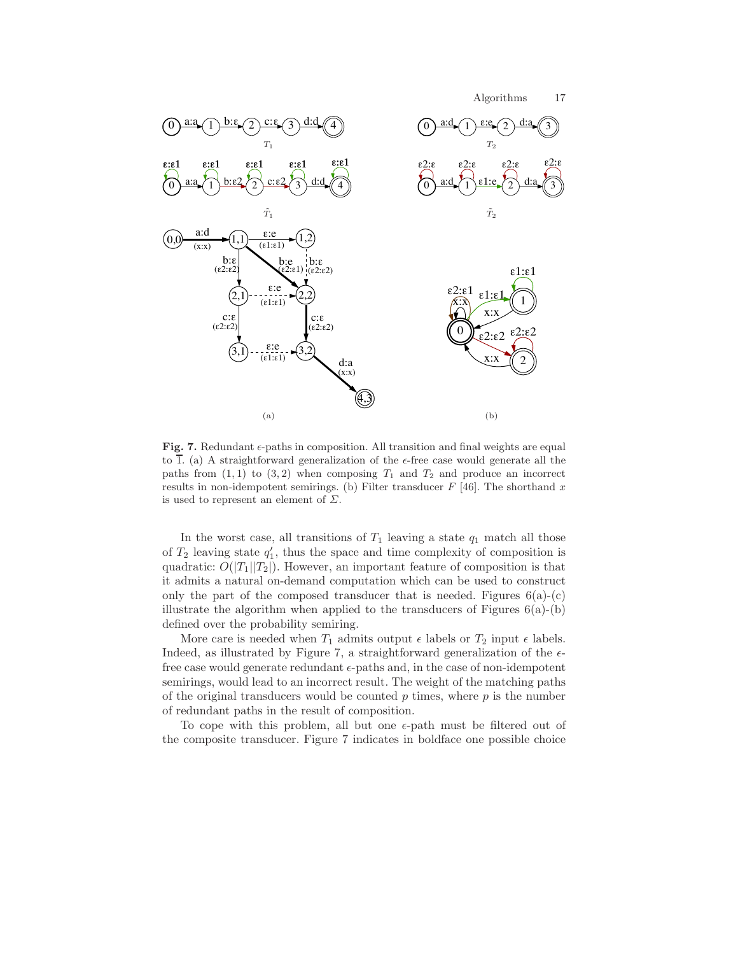

Fig. 7. Redundant  $\epsilon$ -paths in composition. All transition and final weights are equal to  $\overline{1}$ . (a) A straightforward generalization of the  $\epsilon$ -free case would generate all the paths from  $(1, 1)$  to  $(3, 2)$  when composing  $T_1$  and  $T_2$  and produce an incorrect results in non-idempotent semirings. (b) Filter transducer  $F$  [46]. The shorthand x is used to represent an element of  $\Sigma$ .

In the worst case, all transitions of  $T_1$  leaving a state  $q_1$  match all those of  $T_2$  leaving ′ 1 , thus the space and time complexity of composition is quadratic:  $O(|T_{\lambda}| |T_2|)$ . However, an important feature of composition is that it admits a natural on-demand computation which can be used to construct only the part of the composed transducer that is needed. Figures  $6(a)-(c)$ illustrate the algorithm when applied to the transducers of Figures  $6(a)-(b)$ defined over the probability semiring.

More care is needed when  $T_1$  admits output  $\epsilon$  labels or  $T_2$  input  $\epsilon$  labels. Indeed, as illustrated by Figure 7, a straightforward generalization of the  $\epsilon$ free case would generate redundant  $\epsilon$ -paths and, in the case of non-idempotent semirings, would lead to an incorrect result. The weight of the matching paths of the original transducers would be counted  $p$  times, where  $p$  is the number of redundant paths in the result of composition.

To cope with this problem, all but one  $\epsilon$ -path must be filtered out of the composite transducer. Figure 7 indicates in boldface one possible choice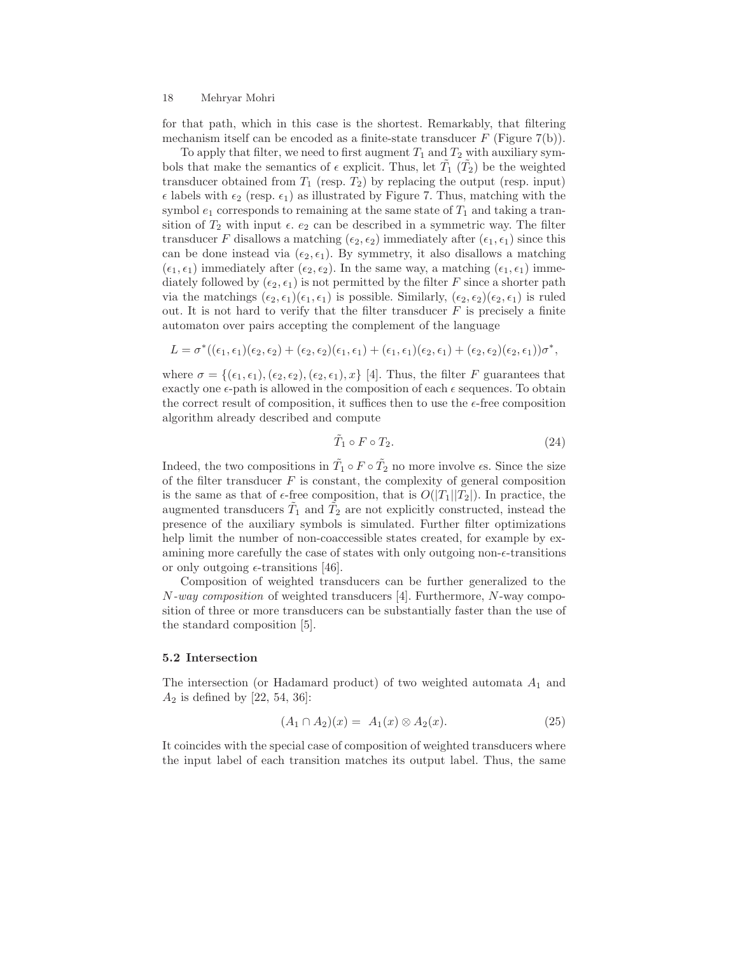#### 18 Mehryar Mohri

for that path, which in this case is the shortest. Remarkably, that filtering mechanism itself can be encoded as a finite-state transducer  $F$  (Figure 7(b)).

To apply that filter, we need to first augment  $T_1$  and  $T_2$  with auxiliary symbols that make the semantics of  $\epsilon$  explicit. Thus, let  $\tilde{T}_1$  ( $\tilde{T}_2$ ) be the weighted transducer obtained from  $T_1$  (resp.  $T_2$ ) by replacing the output (resp. input)  $\epsilon$  labels with  $\epsilon_2$  (resp.  $\epsilon_1$ ) as illustrated by Figure 7. Thus, matching with the symbol  $e_1$  corresponds to remaining at the same state of  $T_1$  and taking a transition of  $T_2$  with input  $\epsilon$ .  $e_2$  can be described in a symmetric way. The filter transducer F disallows a matching ( $\epsilon_2, \epsilon_2$ ) immediately after ( $\epsilon_1, \epsilon_1$ ) since this can be done instead via  $(\epsilon_2, \epsilon_1)$ . By symmetry, it also disallows a matching  $(\epsilon_1, \epsilon_1)$  immediately after  $(\epsilon_2, \epsilon_2)$ . In the same way, a matching  $(\epsilon_1, \epsilon_1)$  immediately followed by  $(\epsilon_2, \epsilon_1)$  is not permitted by the filter F since a shorter path via the matchings  $(\epsilon_2, \epsilon_1)(\epsilon_1, \epsilon_1)$  is possible. Similarly,  $(\epsilon_2, \epsilon_2)(\epsilon_2, \epsilon_1)$  is ruled out. It is not hard to verify that the filter transducer  $F$  is precisely a finite automaton over pairs accepting the complement of the language

$$
L = \sigma^*( (\epsilon_1, \epsilon_1)(\epsilon_2, \epsilon_2) + (\epsilon_2, \epsilon_2)(\epsilon_1, \epsilon_1) + (\epsilon_1, \epsilon_1)(\epsilon_2, \epsilon_1) + (\epsilon_2, \epsilon_2)(\epsilon_2, \epsilon_1)) \sigma^*,
$$

where  $\sigma = \{(\epsilon_1, \epsilon_1), (\epsilon_2, \epsilon_2), (\epsilon_2, \epsilon_1), x\}$  [4]. Thus, the filter F guarantees that exactly one  $\epsilon$ -path is allowed in the composition of each  $\epsilon$  sequences. To obtain the correct result of composition, it suffices then to use the  $\epsilon$ -free composition algorithm already described and compute

$$
\tilde{T}_1 \circ F \circ T_2. \tag{24}
$$

Indeed, the two compositions in  $\tilde{T}_1 \circ F \circ \tilde{T}_2$  no more involve  $\epsilon$ s. Since the size of the filter transducer  $F$  is constant, the complexity of general composition is the same as that of  $\epsilon$ -free composition, that is  $O(|T_1||T_2|)$ . In practice, the augmented transducers  $\tilde{T}_1$  and  $\tilde{T}_2$  are not explicitly constructed, instead the presence of the auxiliary symbols is simulated. Further filter optimizations help limit the number of non-coaccessible states created, for example by examining more carefully the case of states with only outgoing non- $\epsilon$ -transitions or only outgoing  $\epsilon$ -transitions [46].

Composition of weighted transducers can be further generalized to the N-way composition of weighted transducers [4]. Furthermore, N-way composition of three or more transducers can be substantially faster than the use of the standard composition [5].

#### 5.2 Intersection

The intersection (or Hadamard product) of two weighted automata  $A_1$  and  $A_2$  is defined by [22, 54, 36]:

$$
(A_1 \cap A_2)(x) = A_1(x) \otimes A_2(x). \tag{25}
$$

It coincides with the special case of composition of weighted transducers where the input label of each transition matches its output label. Thus, the same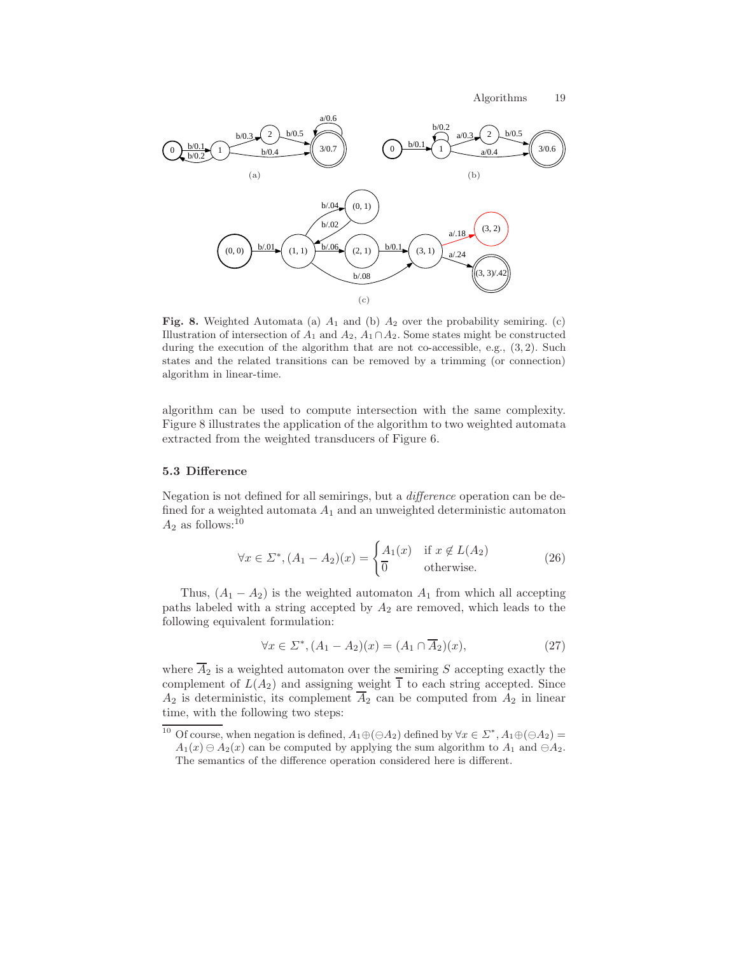

Fig. 8. Weighted Automata (a)  $A_1$  and (b)  $A_2$  over the probability semiring. (c) Illustration of intersection of  $A_1$  and  $A_2$ ,  $A_1 \cap A_2$ . Some states might be constructed during the execution of the algorithm that are not co-accessible, e.g.,  $(3, 2)$ . Such states and the related transitions can be removed by a trimming (or connection) algorithm in linear-time.

algorithm can be used to compute intersection with the same complexity. Figure 8 illustrates the application of the algorithm to two weighted automata extracted from the weighted transducers of Figure 6.

# 5.3 Difference

Negation is not defined for all semirings, but a difference operation can be defined for a weighted automata  $A_1$  and an unweighted deterministic automaton  $A_2$  as follows:<sup>10</sup>

$$
\forall x \in \Sigma^*, (A_1 - A_2)(x) = \begin{cases} A_1(x) & \text{if } x \notin L(A_2) \\ \overline{0} & \text{otherwise.} \end{cases} \tag{26}
$$

Thus,  $(A_1 - A_2)$  is the weighted automaton  $A_1$  from which all accepting paths labeled with a string accepted by  $A_2$  are removed, which leads to the following equivalent formulation:

$$
\forall x \in \Sigma^*, (A_1 - A_2)(x) = (A_1 \cap \overline{A}_2)(x), \tag{27}
$$

where  $\overline{A}_2$  is a weighted automaton over the semiring S accepting exactly the complement of  $L(A_2)$  and assigning weight  $\overline{1}$  to each string accepted. Since  $A_2$  is deterministic, its complement  $\overline{A}_2$  can be computed from  $A_2$  in linear time, with the following two steps:

<sup>10</sup> Of course, when negation is defined,  $A_1 \oplus (\ominus A_2)$  defined by  $\forall x \in \Sigma^*$ ,  $A_1 \oplus (\ominus A_2)$  $A_1(x) \ominus A_2(x)$  can be computed by applying the sum algorithm to  $A_1$  and  $\ominus A_2$ .

The semantics of the difference operation considered here is different.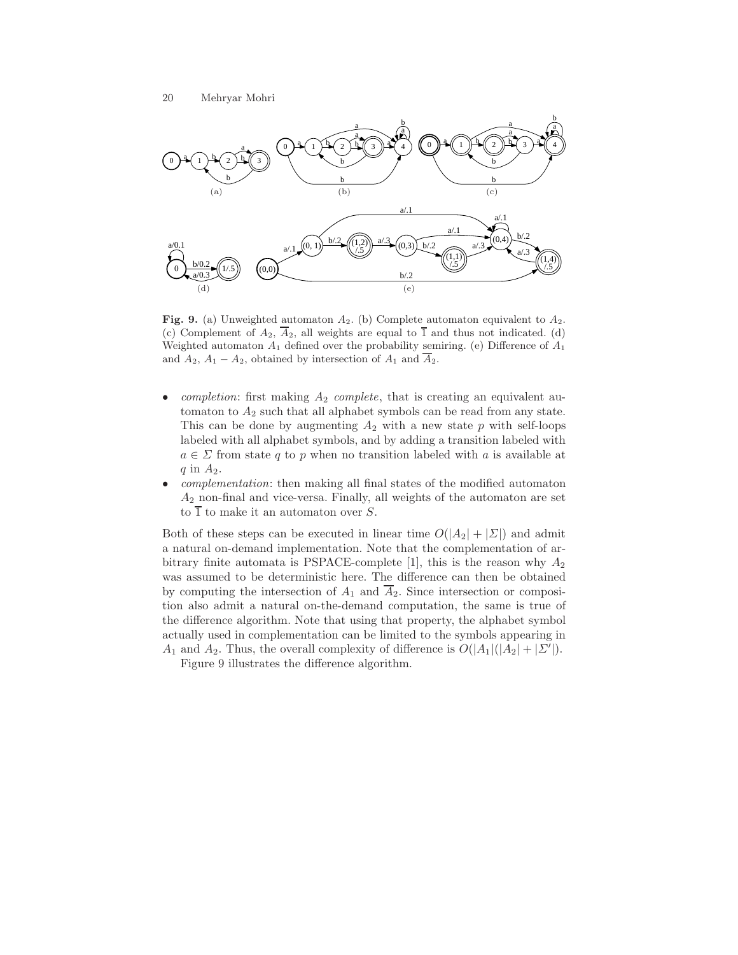

Fig. 9. (a) Unweighted automaton  $A_2$ . (b) Complete automaton equivalent to  $A_2$ . (c) Complement of  $A_2$ ,  $\overline{A}_2$ , all weights are equal to  $\overline{1}$  and thus not indicated. (d) Weighted automaton  $A_1$  defined over the probability semiring. (e) Difference of  $A_1$ and  $A_2$ ,  $A_1 - A_2$ , obtained by intersection of  $A_1$  and  $\overline{A}_2$ .

- *completion*: first making  $A_2$  *complete*, that is creating an equivalent automaton to  $A_2$  such that all alphabet symbols can be read from any state. This can be done by augmenting  $A_2$  with a new state p with self-loops labeled with all alphabet symbols, and by adding a transition labeled with  $a \in \Sigma$  from state q to p when no transition labeled with a is available at  $q$  in  $A_2$ .
- *complementation*: then making all final states of the modified automaton  $A<sub>2</sub>$  non-final and vice-versa. Finally, all weights of the automaton are set to  $\overline{1}$  to make it an automaton over S.

Both of these steps can be executed in linear time  $O(|A_2| + |\Sigma|)$  and admit a natural on-demand implementation. Note that the complementation of arbitrary finite automata is PSPACE-complete [1], this is the reason why  $A_2$ was assumed to be deterministic here. The difference can then be obtained by computing the intersection of  $A_1$  and  $\overline{A}_2$ . Since intersection or composition also admit a natural on-the-demand computation, the same is true of the difference algorithm. Note that using that property, the alphabet symbol actually used in complementation can be limited to the symbols appearing in  $A_1$  and  $A_2$ . Thus, the overall complexity of difference is  $O(|A_1|(|A_2|+|\mathcal{Z}'|)).$ 

Figure 9 illustrates the difference algorithm.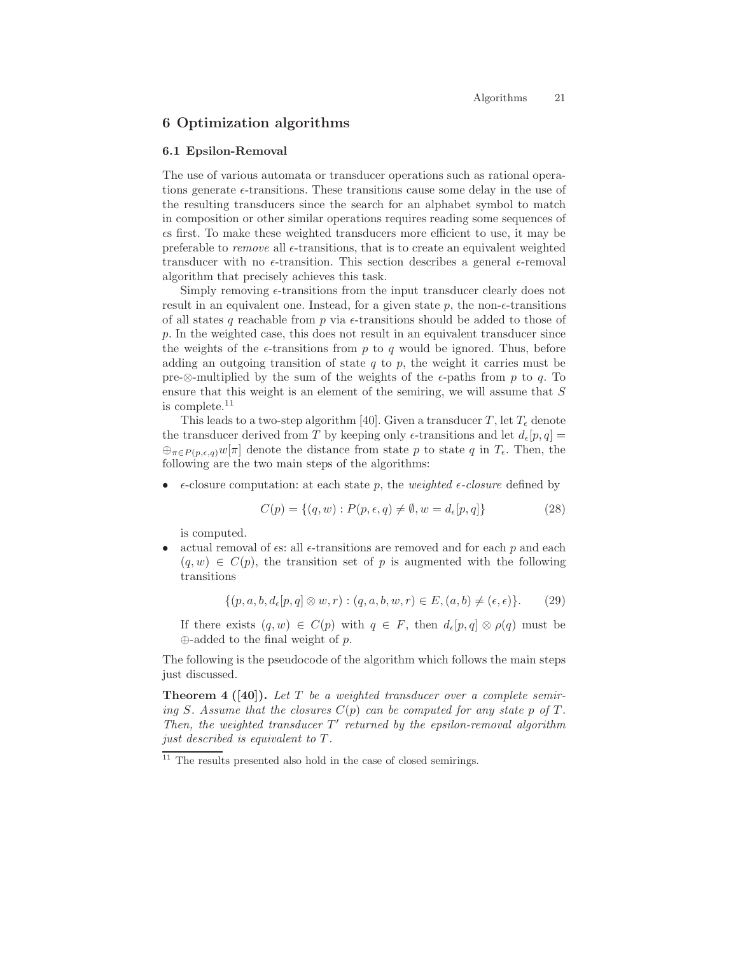# 6 Optimization algorithms

### 6.1 Epsilon-Removal

The use of various automata or transducer operations such as rational operations generate  $\epsilon$ -transitions. These transitions cause some delay in the use of the resulting transducers since the search for an alphabet symbol to match in composition or other similar operations requires reading some sequences of ǫs first. To make these weighted transducers more efficient to use, it may be preferable to remove all  $\epsilon$ -transitions, that is to create an equivalent weighted transducer with no  $\epsilon$ -transition. This section describes a general  $\epsilon$ -removal algorithm that precisely achieves this task.

Simply removing  $\epsilon$ -transitions from the input transducer clearly does not result in an equivalent one. Instead, for a given state  $p$ , the non- $\epsilon$ -transitions of all states q reachable from p via  $\epsilon$ -transitions should be added to those of p. In the weighted case, this does not result in an equivalent transducer since the weights of the  $\epsilon$ -transitions from p to q would be ignored. Thus, before adding an outgoing transition of state  $q$  to  $p$ , the weight it carries must be pre-⊗-multiplied by the sum of the weights of the  $\epsilon$ -paths from p to q. To ensure that this weight is an element of the semiring, we will assume that  $S$ is complete.<sup>11</sup>

This leads to a two-step algorithm [40]. Given a transducer T, let  $T_{\epsilon}$  denote the transducer derived from T by keeping only  $\epsilon$ -transitions and let  $d_{\epsilon}[p, q] =$  $\bigoplus_{\pi \in P(p,\epsilon,q)} w[\pi]$  denote the distance from state p to state q in  $T_{\epsilon}$ . Then, the following are the two main steps of the algorithms:

 $\epsilon$ -closure computation: at each state p, the weighted  $\epsilon$ -closure defined by

$$
C(p) = \{(q, w) : P(p, \epsilon, q) \neq \emptyset, w = d_{\epsilon}[p, q]\}\
$$
\n(28)

is computed.

• actual removal of  $\epsilon$ s: all  $\epsilon$ -transitions are removed and for each p and each  $(q, w) \in C(p)$ , the transition set of p is augmented with the following transitions

$$
\{(p, a, b, d_{\epsilon}[p, q] \otimes w, r) : (q, a, b, w, r) \in E, (a, b) \neq (\epsilon, \epsilon)\}.
$$
 (29)

If there exists  $(q, w) \in C(p)$  with  $q \in F$ , then  $d_e[p, q] \otimes \rho(q)$  must be  $\oplus$ -added to the final weight of p.

The following is the pseudocode of the algorithm which follows the main steps just discussed.

**Theorem 4 ([40]).** Let  $T$  be a weighted transducer over a complete semiring S. Assume that the closures  $C(p)$  can be computed for any state p of T. Then, the weighted transducer  $T'$  returned by the epsilon-removal algorithm just described is equivalent to T .

 $\frac{11}{11}$  The results presented also hold in the case of closed semirings.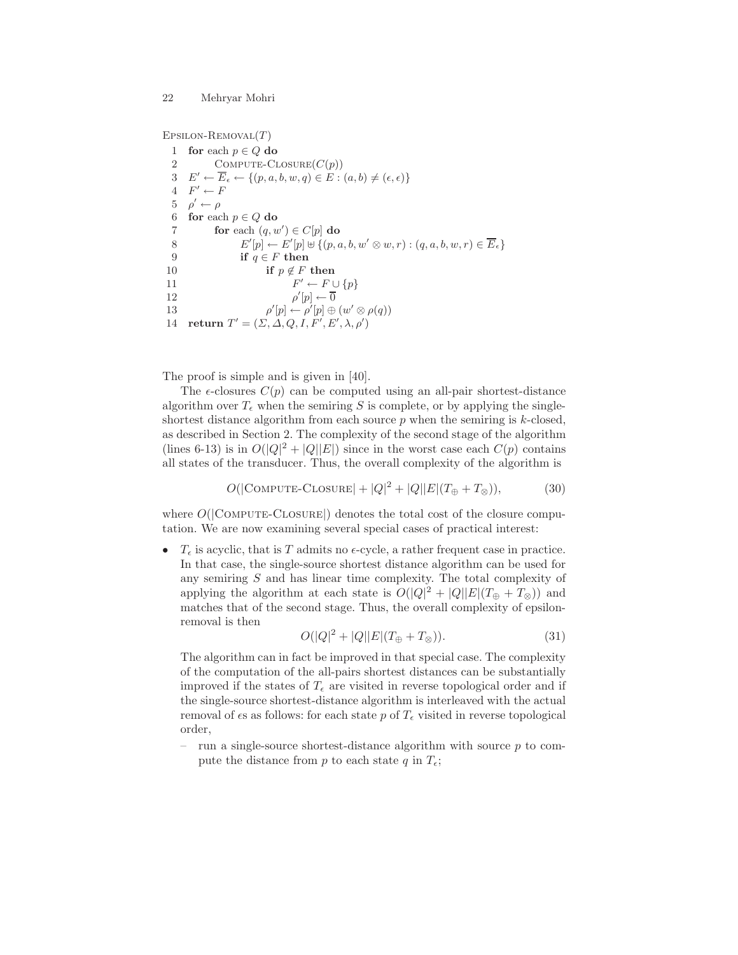```
EPSILON-REMOVAL(T)
```
1 for each  $p \in Q$  do 2 COMPUTE-CLOSURE $(C(p))$ 3  $E' \leftarrow \overline{E}_{\epsilon} \leftarrow \{(p, a, b, w, q) \in E : (a, b) \neq (\epsilon, \epsilon)\}\$  $4 \quad F' \leftarrow F$ 5  $\rho' \leftarrow \rho$ 6 for each  $p \in Q$  do 7 for each  $(q, w') \in C[p]$  do 8  $E'[p] \leftarrow E'[p] \cup \{(p, a, b, w' \otimes w, r) : (q, a, b, w, r) \in \overline{E}_{\epsilon}\}\$ 9 if  $q \in F$  then 10 if  $p \notin F$  then 11  $F$  $\mathcal{C}' \leftarrow F \cup \{p\}$ <br>' $[p] \leftarrow \overline{0}$ 12  $\rho$ 13  $\rho'[p] \leftarrow \rho'[p] \oplus (w' \otimes \rho(q))$ 14 return  $T' = (\Sigma, \Delta, Q, I, F', E', \lambda, \rho')$ 

The proof is simple and is given in [40].

The  $\epsilon$ -closures  $C(p)$  can be computed using an all-pair shortest-distance algorithm over  $T_{\epsilon}$  when the semiring S is complete, or by applying the singleshortest distance algorithm from each source  $p$  when the semiring is  $k$ -closed, as described in Section 2. The complexity of the second stage of the algorithm (lines 6-13) is in  $O(|Q|^2 + |Q||E|)$  since in the worst case each  $C(p)$  contains all states of the transducer. Thus, the overall complexity of the algorithm is

$$
O(|\text{COMPUTE-CLOSURE}| + |Q|^2 + |Q||E|(T_{\oplus} + T_{\otimes})),\tag{30}
$$

where  $O(|COMPUTE-CLOSURE|)$  denotes the total cost of the closure computation. We are now examining several special cases of practical interest:

•  $T_{\epsilon}$  is acyclic, that is T admits no  $\epsilon$ -cycle, a rather frequent case in practice. In that case, the single-source shortest distance algorithm can be used for any semiring S and has linear time complexity. The total complexity of applying the algorithm at each state is  $O(|Q|^2 + |Q||E|(T_{\oplus} + T_{\otimes}))$  and matches that of the second stage. Thus, the overall complexity of epsilonremoval is then

$$
O(|Q|^2 + |Q||E|(T_{\oplus} + T_{\otimes})).
$$
\n(31)

The algorithm can in fact be improved in that special case. The complexity of the computation of the all-pairs shortest distances can be substantially improved if the states of  $T_{\epsilon}$  are visited in reverse topological order and if the single-source shortest-distance algorithm is interleaved with the actual removal of  $\epsilon$ s as follows: for each state p of  $T_{\epsilon}$  visited in reverse topological order,

– run a single-source shortest-distance algorithm with source  $p$  to compute the distance from p to each state q in  $T_{\epsilon}$ ;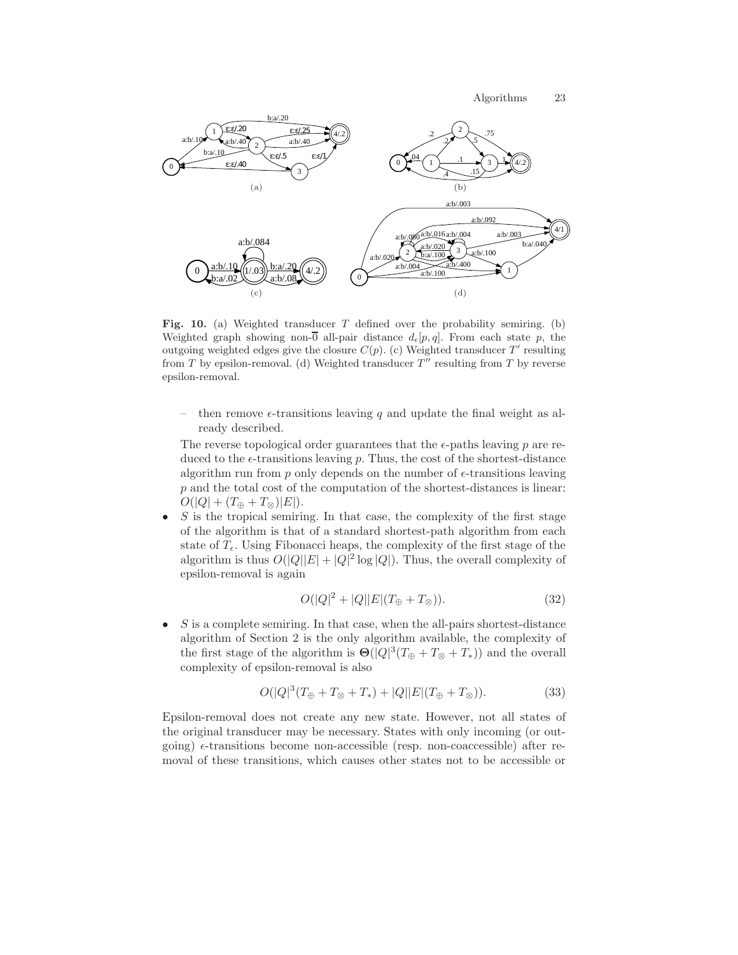

Fig. 10. (a) Weighted transducer  $T$  defined over the probability semiring. (b) Weighted graph showing non- $\overline{0}$  all-pair distance  $d_{\epsilon}[p, q]$ . From each state p, the outgoing weighted edges give the closure  $C(p)$ . (c) Weighted transducer T' resulting from  $T$  by epsilon-removal. (d) Weighted transducer  $T''$  resulting from  $T$  by reverse epsilon-removal.

– then remove  $\epsilon$ -transitions leaving q and update the final weight as already described.

The reverse topological order guarantees that the  $\epsilon$ -paths leaving p are reduced to the  $\epsilon$ -transitions leaving p. Thus, the cost of the shortest-distance algorithm run from p only depends on the number of  $\epsilon$ -transitions leaving p and the total cost of the computation of the shortest-distances is linear:  $O(|Q| + (T_{\oplus} + T_{\otimes})|E|).$ 

 $S$  is the tropical semiring. In that case, the complexity of the first stage of the algorithm is that of a standard shortest-path algorithm from each state of  $T_{\epsilon}$ . Using Fibonacci heaps, the complexity of the first stage of the algorithm is thus  $O(|Q||E| + |Q|^2 \log |Q|)$ . Thus, the overall complexity of epsilon-removal is again

$$
O(|Q|^2 + |Q||E|(T_{\oplus} + T_{\otimes})).
$$
\n(32)

•  $S$  is a complete semiring. In that case, when the all-pairs shortest-distance algorithm of Section 2 is the only algorithm available, the complexity of the first stage of the algorithm is  $\Theta(|Q|^3(T_\oplus + T_\otimes + T_*))$  and the overall complexity of epsilon-removal is also

$$
O(|Q|^3(T_\oplus + T_\otimes + T_*) + |Q||E|(T_\oplus + T_\otimes)).\tag{33}
$$

Epsilon-removal does not create any new state. However, not all states of the original transducer may be necessary. States with only incoming (or outgoing)  $\epsilon$ -transitions become non-accessible (resp. non-coaccessible) after removal of these transitions, which causes other states not to be accessible or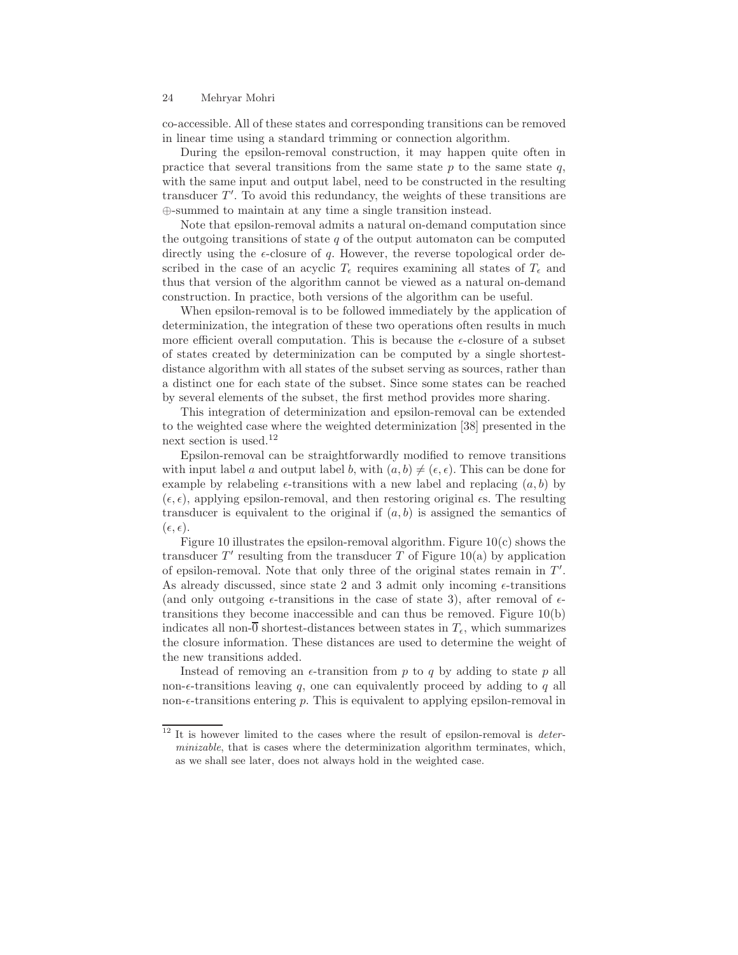#### 24 Mehryar Mohri

co-accessible. All of these states and corresponding transitions can be removed in linear time using a standard trimming or connection algorithm.

During the epsilon-removal construction, it may happen quite often in practice that several transitions from the same state  $p$  to the same state  $q$ , with the same input and output label, need to be constructed in the resulting transducer  $T'$ . To avoid this redundancy, the weights of these transitions are ⊕-summed to maintain at any time a single transition instead.

Note that epsilon-removal admits a natural on-demand computation since the outgoing transitions of state  $q$  of the output automaton can be computed directly using the  $\epsilon$ -closure of q. However, the reverse topological order described in the case of an acyclic  $T_{\epsilon}$  requires examining all states of  $T_{\epsilon}$  and thus that version of the algorithm cannot be viewed as a natural on-demand construction. In practice, both versions of the algorithm can be useful.

When epsilon-removal is to be followed immediately by the application of determinization, the integration of these two operations often results in much more efficient overall computation. This is because the  $\epsilon$ -closure of a subset of states created by determinization can be computed by a single shortestdistance algorithm with all states of the subset serving as sources, rather than a distinct one for each state of the subset. Since some states can be reached by several elements of the subset, the first method provides more sharing.

This integration of determinization and epsilon-removal can be extended to the weighted case where the weighted determinization [38] presented in the next section is used.<sup>12</sup>

Epsilon-removal can be straightforwardly modified to remove transitions with input label a and output label b, with  $(a, b) \neq (\epsilon, \epsilon)$ . This can be done for example by relabeling  $\epsilon$ -transitions with a new label and replacing  $(a, b)$  by  $(\epsilon, \epsilon)$ , applying epsilon-removal, and then restoring original  $\epsilon$ s. The resulting transducer is equivalent to the original if  $(a, b)$  is assigned the semantics of  $(\epsilon, \epsilon).$ 

Figure 10 illustrates the epsilon-removal algorithm. Figure  $10(c)$  shows the transducer  $T'$  resulting from the transducer  $T$  of Figure 10(a) by application of epsilon-removal. Note that only three of the original states remain in  $T'$ . As already discussed, since state 2 and 3 admit only incoming  $\epsilon$ -transitions (and only outgoing  $\epsilon$ -transitions in the case of state 3), after removal of  $\epsilon$ transitions they become inaccessible and can thus be removed. Figure 10(b) indicates all non- $\overline{0}$  shortest-distances between states in  $T_{\epsilon}$ , which summarizes the closure information. These distances are used to determine the weight of the new transitions added.

Instead of removing an  $\epsilon$ -transition from p to q by adding to state p all non- $\epsilon$ -transitions leaving q, one can equivalently proceed by adding to q all non- $\epsilon$ -transitions entering p. This is equivalent to applying epsilon-removal in

 $12$  It is however limited to the cases where the result of epsilon-removal is *deter*minizable, that is cases where the determinization algorithm terminates, which, as we shall see later, does not always hold in the weighted case.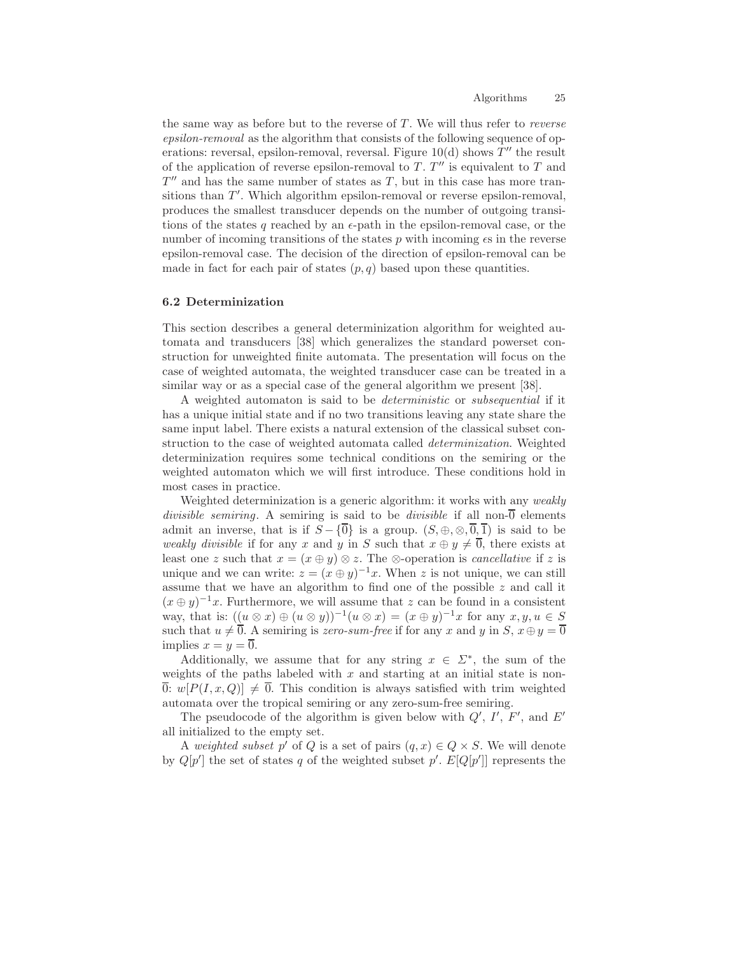the same way as before but to the reverse of  $T$ . We will thus refer to *reverse* epsilon-removal as the algorithm that consists of the following sequence of operations: reversal, epsilon-removal, reversal. Figure  $10(d)$  shows  $T''$  the result of the application of reverse epsilon-removal to  $T$ .  $T''$  is equivalent to  $T$  and  $T''$  and has the same number of states as  $T$ , but in this case has more transitions than T'. Which algorithm epsilon-removal or reverse epsilon-removal, produces the smallest transducer depends on the number of outgoing transitions of the states q reached by an  $\epsilon$ -path in the epsilon-removal case, or the number of incoming transitions of the states  $p$  with incoming  $\epsilon s$  in the reverse epsilon-removal case. The decision of the direction of epsilon-removal can be made in fact for each pair of states  $(p, q)$  based upon these quantities.

#### 6.2 Determinization

This section describes a general determinization algorithm for weighted automata and transducers [38] which generalizes the standard powerset construction for unweighted finite automata. The presentation will focus on the case of weighted automata, the weighted transducer case can be treated in a similar way or as a special case of the general algorithm we present [38].

A weighted automaton is said to be *deterministic* or *subsequential* if it has a unique initial state and if no two transitions leaving any state share the same input label. There exists a natural extension of the classical subset construction to the case of weighted automata called determinization. Weighted determinization requires some technical conditions on the semiring or the weighted automaton which we will first introduce. These conditions hold in most cases in practice.

Weighted determinization is a generic algorithm: it works with any weakly divisible semiring. A semiring is said to be divisible if all non- $\overline{0}$  elements admit an inverse, that is if  $S - \{\overline{0}\}\$ is a group.  $(S, \oplus, \otimes, \overline{0}, \overline{1})$  is said to be weakly divisible if for any x and y in S such that  $x \oplus y \neq 0$ , there exists at least one z such that  $x = (x \oplus y) \otimes z$ . The ⊗-operation is *cancellative* if z is unique and we can write:  $z = (x \oplus y)^{-1}x$ . When z is not unique, we can still assume that we have an algorithm to find one of the possible  $z$  and call it  $(x \oplus y)^{-1}x$ . Furthermore, we will assume that z can be found in a consistent way, that is:  $((u \otimes x) \oplus (u \otimes y))^{-1}(u \otimes x) = (x \oplus y)^{-1}x$  for any  $x, y, u \in S$ such that  $u \neq 0$ . A semiring is *zero-sum-free* if for any x and y in S,  $x \oplus y = 0$ implies  $x = y = \overline{0}$ .

Additionally, we assume that for any string  $x \in \Sigma^*$ , the sum of the weights of the paths labeled with  $x$  and starting at an initial state is non- $\overline{0}: w[P(I, x, Q)] \neq \overline{0}$ . This condition is always satisfied with trim weighted automata over the tropical semiring or any zero-sum-free semiring.

The pseudocode of the algorithm is given below with  $Q'$ ,  $I'$ ,  $F'$ , and  $E'$ all initialized to the empty set.

A weighted subset p' of Q is a set of pairs  $(q, x) \in Q \times S$ . We will denote by  $Q[p']$  the set of states q of the weighted subset p'.  $E[Q[p']]$  represents the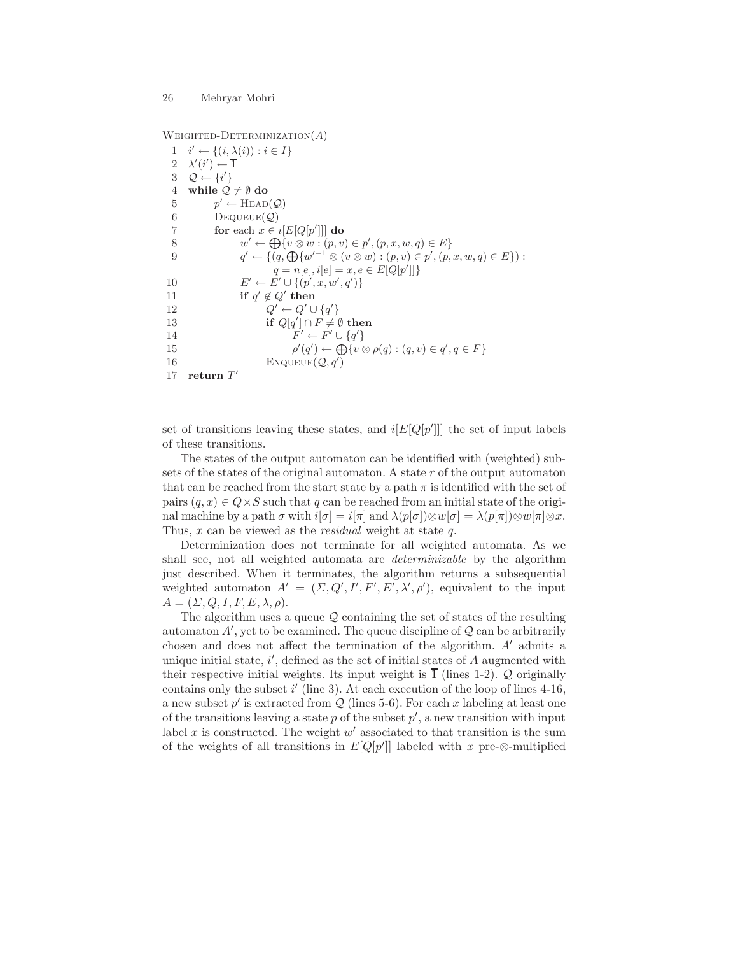WEIGHTED-DETERMINIZATION $(A)$ 

```
1 i' \leftarrow \{(i, \lambda(i)) : i \in I\}2 \lambda'(i') \leftarrow \overline{1}3 \mathcal{Q} \leftarrow \{i'\}4 while \mathcal{Q} \neq \emptyset do
 5 p' \leftarrow \text{HEAD}(\mathcal{Q})6 DEQUEUE(\mathcal{Q})7 for each x \in i[E[Q[p']]] do
 8 w' \leftarrow \bigoplus \{v \otimes w : (p, v) \in p', (p, x, w, q) \in E\}9 qy' \leftarrow \{ (q, \bigoplus \{ w'^{-1} \otimes (v \otimes w) : (p, v) \in p', (p, x, w, q) \in E \} ) :q = n[e], i[e] = x, e \in E[Q[p']]10
                      \mathscr{C} \leftarrow E' \cup \{(p', x, w', q')\}11 if q' \notin Q' then
12 Q
                             ' \leftarrow Q' \cup \{q'\}13 if Q[q'] \cap F \neq \emptyset then
14 F
                                    \gamma' \leftarrow F' \cup \{q'\}15 \rho\mathcal{O}'(q') \leftarrow \bigoplus \{v \otimes \rho(q) : (q, v) \in q', q \in F\}16 ENQUEUE(\mathcal{Q}, q')17 return T'
```
set of transitions leaving these states, and  $i[E[Q[p']]]$  the set of input labels of these transitions.

The states of the output automaton can be identified with (weighted) subsets of the states of the original automaton. A state  $r$  of the output automaton that can be reached from the start state by a path  $\pi$  is identified with the set of pairs  $(q, x) \in Q \times S$  such that q can be reached from an initial state of the original machine by a path  $\sigma$  with  $i[\sigma] = i[\pi]$  and  $\lambda(p[\sigma]) \otimes w[\sigma] = \lambda(p[\pi]) \otimes w[\pi] \otimes x$ . Thus,  $x$  can be viewed as the *residual* weight at state  $q$ .

Determinization does not terminate for all weighted automata. As we shall see, not all weighted automata are *determinizable* by the algorithm just described. When it terminates, the algorithm returns a subsequential weighted automaton  $A' = (\Sigma, Q', I', F', E', \lambda', \rho')$ , equivalent to the input  $A = (\Sigma, Q, I, F, E, \lambda, \rho).$ 

The algorithm uses a queue  $Q$  containing the set of states of the resulting automaton  $A'$ , yet to be examined. The queue discipline of  $\mathcal Q$  can be arbitrarily chosen and does not affect the termination of the algorithm. A′ admits a unique initial state,  $i'$ , defined as the set of initial states of  $A$  augmented with their respective initial weights. Its input weight is  $\overline{1}$  (lines 1-2).  $\mathcal Q$  originally contains only the subset  $i'$  (line 3). At each execution of the loop of lines 4-16, a new subset  $p'$  is extracted from  $Q$  (lines 5-6). For each x labeling at least one of the transitions leaving a state  $p$  of the subset  $p'$ , a new transition with input label  $x$  is constructed. The weight  $w'$  associated to that transition is the sum of the weights of all transitions in  $E[Q[p']]$  labeled with x pre-⊗-multiplied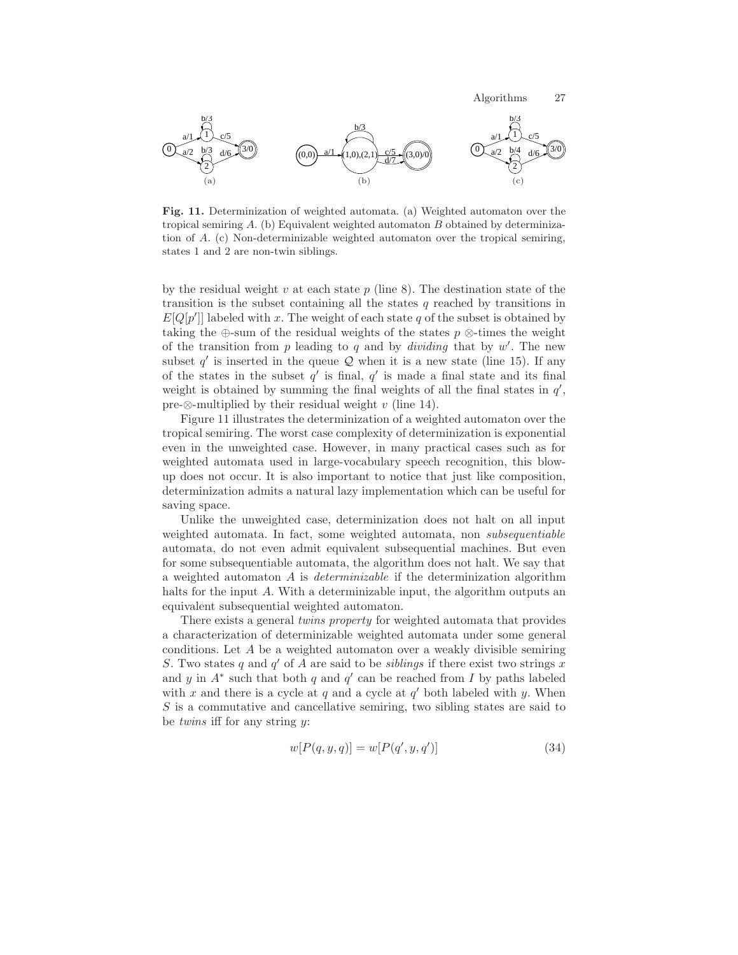

Fig. 11. Determinization of weighted automata. (a) Weighted automaton over the tropical semiring  $A$ . (b) Equivalent weighted automaton  $B$  obtained by determinization of A. (c) Non-determinizable weighted automaton over the tropical semiring, states 1 and 2 are non-twin siblings.

by the residual weight v at each state  $p$  (line 8). The destination state of the transition is the subset containing all the states  $q$  reached by transitions in  $E[Q[p']]$  labeled with x. The weight of each state q of the subset is obtained by taking the  $\oplus$ -sum of the residual weights of the states p  $\otimes$ -times the weight of the transition from  $p$  leading to  $q$  and by *dividing* that by  $w'$ . The new subset  $q'$  is inserted in the queue  $Q$  when it is a new state (line 15). If any of the states in the subset  $q'$  is final,  $q'$  is made a final state and its final weight is obtained by summing the final weights of all the final states in  $q'$ , pre-⊗-multiplied by their residual weight  $v$  (line 14).

Figure 11 illustrates the determinization of a weighted automaton over the tropical semiring. The worst case complexity of determinization is exponential even in the unweighted case. However, in many practical cases such as for weighted automata used in large-vocabulary speech recognition, this blowup does not occur. It is also important to notice that just like composition, determinization admits a natural lazy implementation which can be useful for saving space.

Unlike the unweighted case, determinization does not halt on all input weighted automata. In fact, some weighted automata, non subsequentiable automata, do not even admit equivalent subsequential machines. But even for some subsequentiable automata, the algorithm does not halt. We say that a weighted automaton A is determinizable if the determinization algorithm halts for the input A. With a determinizable input, the algorithm outputs an equivalent subsequential weighted automaton.

There exists a general *twins property* for weighted automata that provides a characterization of determinizable weighted automata under some general conditions. Let A be a weighted automaton over a weakly divisible semiring S. Two states q and  $q'$  of A are said to be *siblings* if there exist two strings x and y in  $A^*$  such that both q and q' can be reached from I by paths labeled with  $x$  and there is a cycle at  $q$  and a cycle at  $q'$  both labeled with  $y$ . When S is a commutative and cancellative semiring, two sibling states are said to be *twins* iff for any string  $y$ :

$$
w[P(q, y, q)] = w[P(q', y, q')] \tag{34}
$$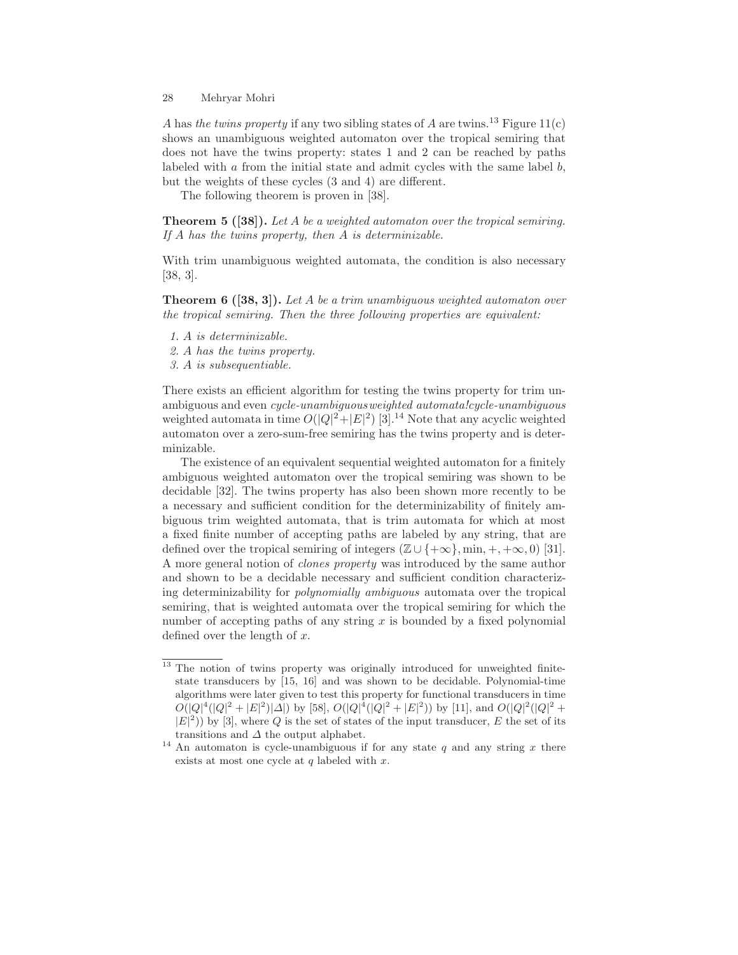28 Mehryar Mohri

A has the twins property if any two sibling states of A are twins.<sup>13</sup> Figure 11(c) shows an unambiguous weighted automaton over the tropical semiring that does not have the twins property: states 1 and 2 can be reached by paths labeled with  $a$  from the initial state and admit cycles with the same label  $b$ , but the weights of these cycles (3 and 4) are different.

The following theorem is proven in [38].

Theorem 5 ([38]). Let A be a weighted automaton over the tropical semiring. If  $A$  has the twins property, then  $A$  is determinizable.

With trim unambiguous weighted automata, the condition is also necessary [38, 3].

**Theorem 6 ([38, 3]).** Let A be a trim unambiguous weighted automaton over the tropical semiring. Then the three following properties are equivalent:

- 1. A is determinizable.
- 2. A has the twins property.
- 3. A is subsequentiable.

There exists an efficient algorithm for testing the twins property for trim unambiguous and even cycle-unambiguousweighted automata!cycle-unambiguous weighted automata in time  $O(|Q|^2 + |E|^2)$  [3].<sup>14</sup> Note that any acyclic weighted automaton over a zero-sum-free semiring has the twins property and is determinizable.

The existence of an equivalent sequential weighted automaton for a finitely ambiguous weighted automaton over the tropical semiring was shown to be decidable [32]. The twins property has also been shown more recently to be a necessary and sufficient condition for the determinizability of finitely ambiguous trim weighted automata, that is trim automata for which at most a fixed finite number of accepting paths are labeled by any string, that are defined over the tropical semiring of integers  $(\mathbb{Z} \cup \{+\infty\}, \min, +, +\infty, 0)$  [31]. A more general notion of clones property was introduced by the same author and shown to be a decidable necessary and sufficient condition characterizing determinizability for polynomially ambiguous automata over the tropical semiring, that is weighted automata over the tropical semiring for which the number of accepting paths of any string  $x$  is bounded by a fixed polynomial defined over the length of  $x$ .

<sup>&</sup>lt;sup>13</sup> The notion of twins property was originally introduced for unweighted finitestate transducers by [15, 16] and was shown to be decidable. Polynomial-time algorithms were later given to test this property for functional transducers in time  $O(|Q|^4(|Q|^2+|E|^2)|\Delta|)$  by [58],  $O(|Q|^4(|Q|^2+|E|^2))$  by [11], and  $O(|Q|^2(|Q|^2+|E|^2)|\Delta|)$  $|E|^2$ ) by [3], where Q is the set of states of the input transducer, E the set of its transitions and  $\Delta$  the output alphabet.

<sup>&</sup>lt;sup>14</sup> An automaton is cycle-unambiguous if for any state  $q$  and any string  $x$  there exists at most one cycle at  $q$  labeled with  $x$ .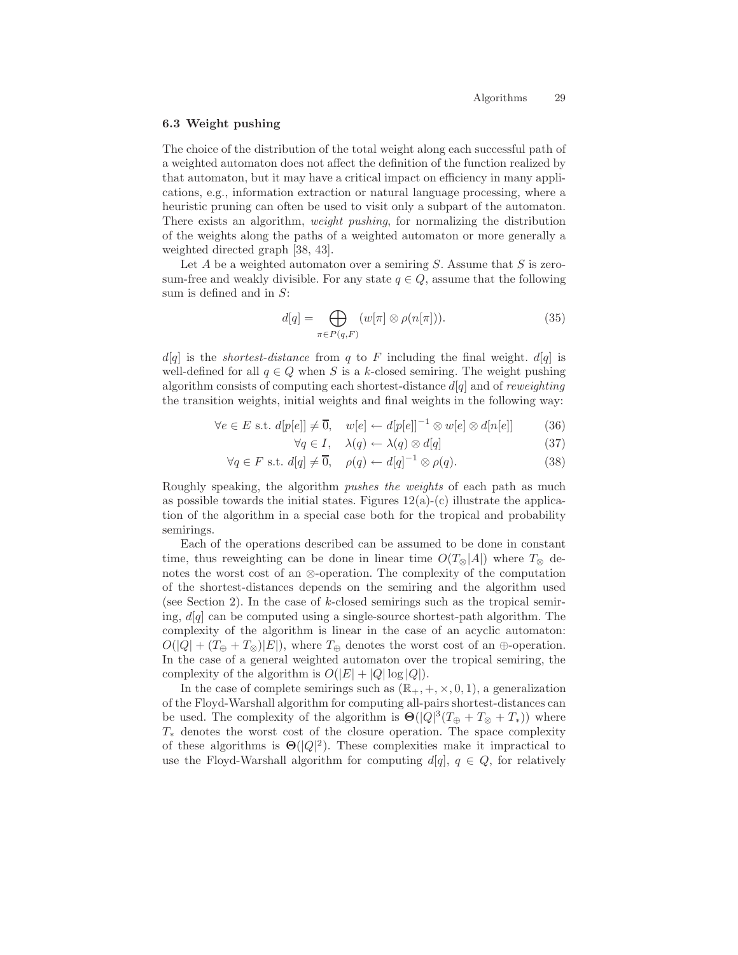### 6.3 Weight pushing

The choice of the distribution of the total weight along each successful path of a weighted automaton does not affect the definition of the function realized by that automaton, but it may have a critical impact on efficiency in many applications, e.g., information extraction or natural language processing, where a heuristic pruning can often be used to visit only a subpart of the automaton. There exists an algorithm, weight pushing, for normalizing the distribution of the weights along the paths of a weighted automaton or more generally a weighted directed graph [38, 43].

Let  $A$  be a weighted automaton over a semiring  $S$ . Assume that  $S$  is zerosum-free and weakly divisible. For any state  $q \in Q$ , assume that the following sum is defined and in S:

$$
d[q] = \bigoplus_{\pi \in P(q,F)} (w[\pi] \otimes \rho(n[\pi])). \tag{35}
$$

 $d[q]$  is the *shortest-distance* from q to F including the final weight.  $d[q]$  is well-defined for all  $q \in Q$  when S is a k-closed semiring. The weight pushing algorithm consists of computing each shortest-distance  $d[q]$  and of *reweighting* the transition weights, initial weights and final weights in the following way:

$$
\forall e \in E \text{ s.t. } d[p[e]] \neq \overline{0}, \quad w[e] \leftarrow d[p[e]]^{-1} \otimes w[e] \otimes d[n[e]] \tag{36}
$$

$$
\forall q \in I, \quad \lambda(q) \leftarrow \lambda(q) \otimes d[q] \tag{37}
$$

$$
\forall q \in F \text{ s.t. } d[q] \neq \overline{0}, \quad \rho(q) \leftarrow d[q]^{-1} \otimes \rho(q). \tag{38}
$$

Roughly speaking, the algorithm pushes the weights of each path as much as possible towards the initial states. Figures  $12(a)-(c)$  illustrate the application of the algorithm in a special case both for the tropical and probability semirings.

Each of the operations described can be assumed to be done in constant time, thus reweighting can be done in linear time  $O(T_{\otimes}|A|)$  where  $T_{\otimes}$  denotes the worst cost of an ⊗-operation. The complexity of the computation of the shortest-distances depends on the semiring and the algorithm used (see Section 2). In the case of  $k$ -closed semirings such as the tropical semiring,  $d[q]$  can be computed using a single-source shortest-path algorithm. The complexity of the algorithm is linear in the case of an acyclic automaton:  $O(|Q| + (T_{\oplus} + T_{\otimes})|E|)$ , where  $T_{\oplus}$  denotes the worst cost of an  $\oplus$ -operation. In the case of a general weighted automaton over the tropical semiring, the complexity of the algorithm is  $O(|E| + |Q| \log |Q|)$ .

In the case of complete semirings such as  $(\mathbb{R}_+, +, \times, 0, 1)$ , a generalization of the Floyd-Warshall algorithm for computing all-pairs shortest-distances can be used. The complexity of the algorithm is  $\Theta(|Q|^3(T_{\oplus} + T_{\otimes} + T_*))$  where  $T_*$  denotes the worst cost of the closure operation. The space complexity of these algorithms is  $\Theta(|Q|^2)$ . These complexities make it impractical to use the Floyd-Warshall algorithm for computing  $d[q], q \in Q$ , for relatively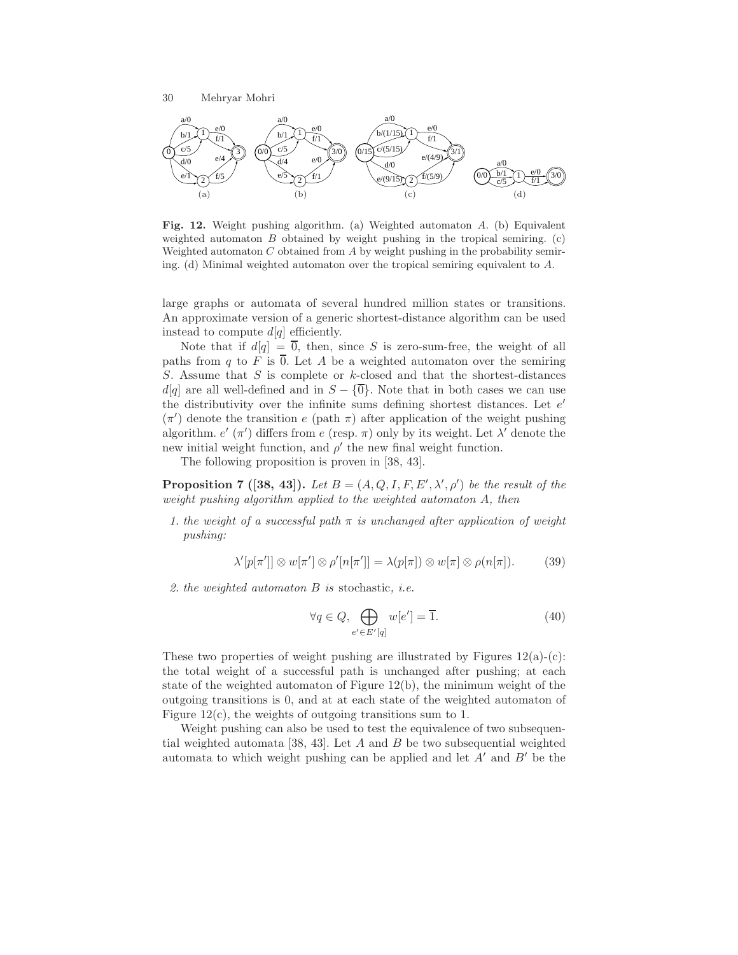

Fig. 12. Weight pushing algorithm. (a) Weighted automaton A. (b) Equivalent weighted automaton  $B$  obtained by weight pushing in the tropical semiring. (c) Weighted automaton  $C$  obtained from  $A$  by weight pushing in the probability semiring. (d) Minimal weighted automaton over the tropical semiring equivalent to A.

large graphs or automata of several hundred million states or transitions. An approximate version of a generic shortest-distance algorithm can be used instead to compute  $d[q]$  efficiently.

Note that if  $d[q] = \overline{0}$ , then, since S is zero-sum-free, the weight of all paths from q to  $\overline{F}$  is  $\overline{0}$ . Let A be a weighted automaton over the semiring S. Assume that  $S$  is complete or  $k$ -closed and that the shortest-distances d[q] are all well-defined and in  $S - \{\overline{0}\}\$ . Note that in both cases we can use the distributivity over the infinite sums defining shortest distances. Let  $e'$ (π ′ ) denote the transition e (path π) after application of the weight pushing algorithm.  $e'(\pi')$  differs from e (resp.  $\pi$ ) only by its weight. Let  $\lambda'$  denote the new initial weight function, and  $\rho'$  the new final weight function.

The following proposition is proven in [38, 43].

**Proposition 7** ([38, 43]). Let  $B = (A, Q, I, F, E', \lambda', \rho')$  be the result of the weight pushing algorithm applied to the weighted automaton A, then

1. the weight of a successful path  $\pi$  is unchanged after application of weight pushing:

$$
\lambda'[p[\pi']] \otimes w[\pi'] \otimes \rho'[n[\pi']] = \lambda(p[\pi]) \otimes w[\pi] \otimes \rho(n[\pi]). \tag{39}
$$

2. the weighted automaton B is stochastic, i.e.

$$
\forall q \in Q, \bigoplus_{e' \in E'[q]} w[e'] = \overline{1}.\tag{40}
$$

These two properties of weight pushing are illustrated by Figures  $12(a)-(c)$ : the total weight of a successful path is unchanged after pushing; at each state of the weighted automaton of Figure 12(b), the minimum weight of the outgoing transitions is 0, and at at each state of the weighted automaton of Figure 12(c), the weights of outgoing transitions sum to 1.

Weight pushing can also be used to test the equivalence of two subsequential weighted automata [38, 43]. Let  $A$  and  $B$  be two subsequential weighted automata to which weight pushing can be applied and let  $A'$  and  $B'$  be the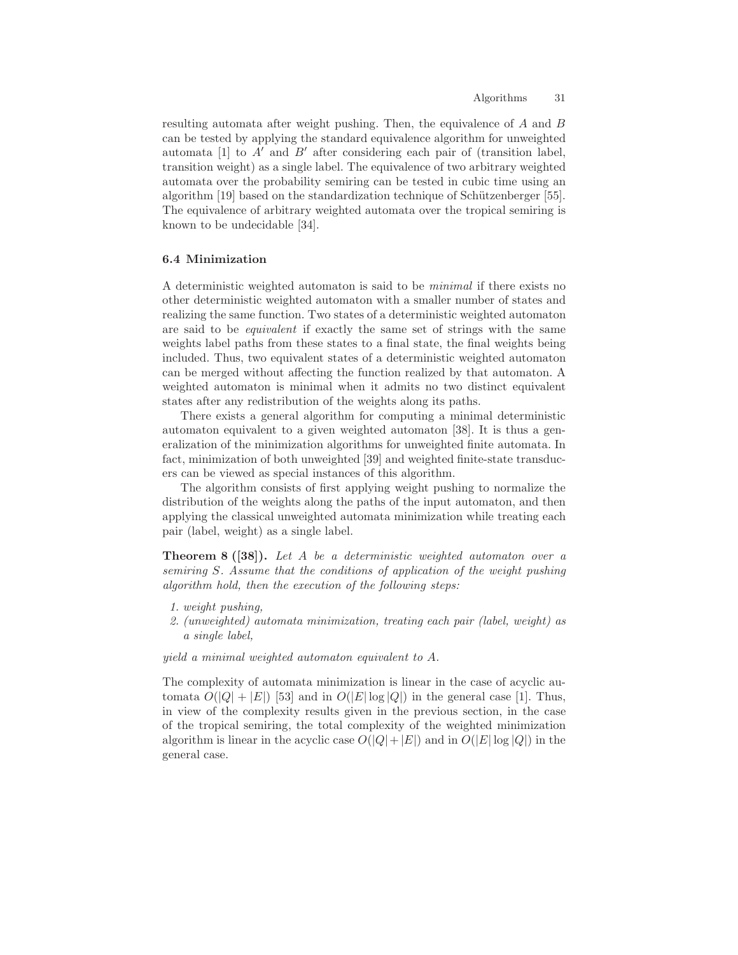resulting automata after weight pushing. Then, the equivalence of A and B can be tested by applying the standard equivalence algorithm for unweighted automata  $[1]$  to  $A'$  and  $B'$  after considering each pair of (transition label, transition weight) as a single label. The equivalence of two arbitrary weighted automata over the probability semiring can be tested in cubic time using an algorithm  $[19]$  based on the standardization technique of Schützenberger  $[55]$ . The equivalence of arbitrary weighted automata over the tropical semiring is known to be undecidable [34].

## 6.4 Minimization

A deterministic weighted automaton is said to be minimal if there exists no other deterministic weighted automaton with a smaller number of states and realizing the same function. Two states of a deterministic weighted automaton are said to be equivalent if exactly the same set of strings with the same weights label paths from these states to a final state, the final weights being included. Thus, two equivalent states of a deterministic weighted automaton can be merged without affecting the function realized by that automaton. A weighted automaton is minimal when it admits no two distinct equivalent states after any redistribution of the weights along its paths.

There exists a general algorithm for computing a minimal deterministic automaton equivalent to a given weighted automaton [38]. It is thus a generalization of the minimization algorithms for unweighted finite automata. In fact, minimization of both unweighted [39] and weighted finite-state transducers can be viewed as special instances of this algorithm.

The algorithm consists of first applying weight pushing to normalize the distribution of the weights along the paths of the input automaton, and then applying the classical unweighted automata minimization while treating each pair (label, weight) as a single label.

Theorem 8 ([38]). Let A be a deterministic weighted automaton over a semiring S. Assume that the conditions of application of the weight pushing algorithm hold, then the execution of the following steps:

- 1. weight pushing,
- 2. (unweighted) automata minimization, treating each pair (label, weight) as a single label,

yield a minimal weighted automaton equivalent to A.

The complexity of automata minimization is linear in the case of acyclic automata  $O(|Q| + |E|)$  [53] and in  $O(|E| \log |Q|)$  in the general case [1]. Thus, in view of the complexity results given in the previous section, in the case of the tropical semiring, the total complexity of the weighted minimization algorithm is linear in the acyclic case  $O(|Q|+|E|)$  and in  $O(|E|\log|Q|)$  in the general case.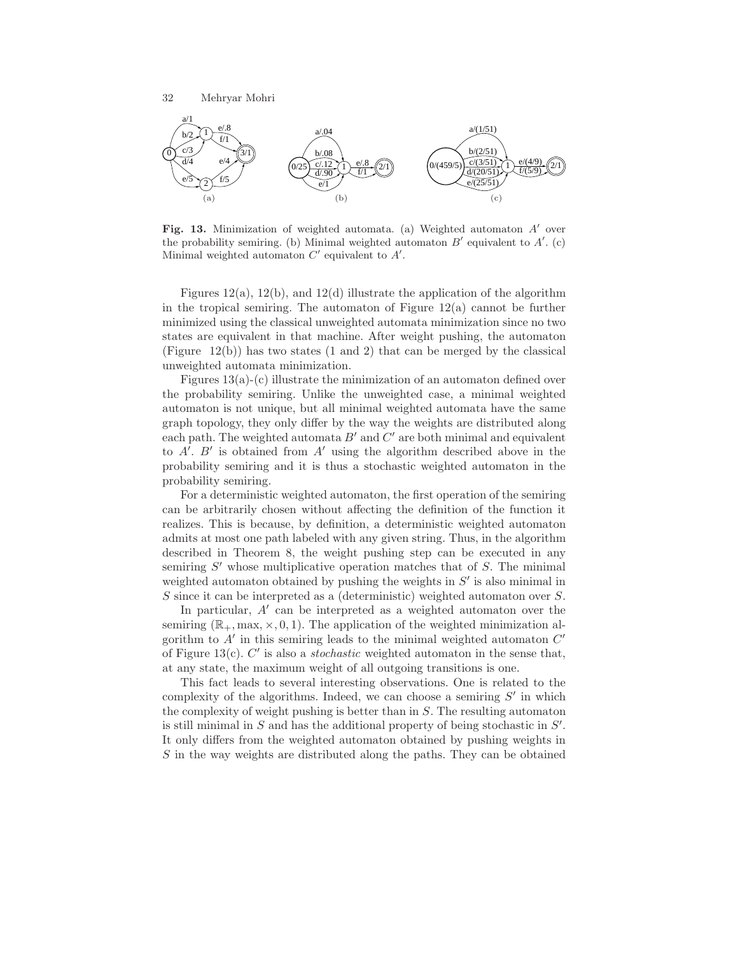

Fig. 13. Minimization of weighted automata. (a) Weighted automaton  $A'$  over the probability semiring. (b) Minimal weighted automaton  $B'$  equivalent to  $A'$ . (c) Minimal weighted automaton  $C'$  equivalent to  $A'$ .

Figures  $12(a)$ ,  $12(b)$ , and  $12(d)$  illustrate the application of the algorithm in the tropical semiring. The automaton of Figure  $12(a)$  cannot be further minimized using the classical unweighted automata minimization since no two states are equivalent in that machine. After weight pushing, the automaton (Figure 12(b)) has two states (1 and 2) that can be merged by the classical unweighted automata minimization.

Figures 13(a)-(c) illustrate the minimization of an automaton defined over the probability semiring. Unlike the unweighted case, a minimal weighted automaton is not unique, but all minimal weighted automata have the same graph topology, they only differ by the way the weights are distributed along each path. The weighted automata  $B'$  and  $C'$  are both minimal and equivalent to  $A'$ .  $B'$  is obtained from  $A'$  using the algorithm described above in the probability semiring and it is thus a stochastic weighted automaton in the probability semiring.

For a deterministic weighted automaton, the first operation of the semiring can be arbitrarily chosen without affecting the definition of the function it realizes. This is because, by definition, a deterministic weighted automaton admits at most one path labeled with any given string. Thus, in the algorithm described in Theorem 8, the weight pushing step can be executed in any semiring  $S'$  whose multiplicative operation matches that of  $S$ . The minimal weighted automaton obtained by pushing the weights in  $S'$  is also minimal in S since it can be interpreted as a (deterministic) weighted automaton over S.

In particular,  $A'$  can be interpreted as a weighted automaton over the semiring  $(\mathbb{R}_+, \max, \times, 0, 1)$ . The application of the weighted minimization algorithm to  $A'$  in this semiring leads to the minimal weighted automaton  $C'$ of Figure 13(c).  $C'$  is also a *stochastic* weighted automaton in the sense that, at any state, the maximum weight of all outgoing transitions is one.

This fact leads to several interesting observations. One is related to the complexity of the algorithms. Indeed, we can choose a semiring  $S'$  in which the complexity of weight pushing is better than in S. The resulting automaton is still minimal in  $S$  and has the additional property of being stochastic in  $S'$ . It only differs from the weighted automaton obtained by pushing weights in S in the way weights are distributed along the paths. They can be obtained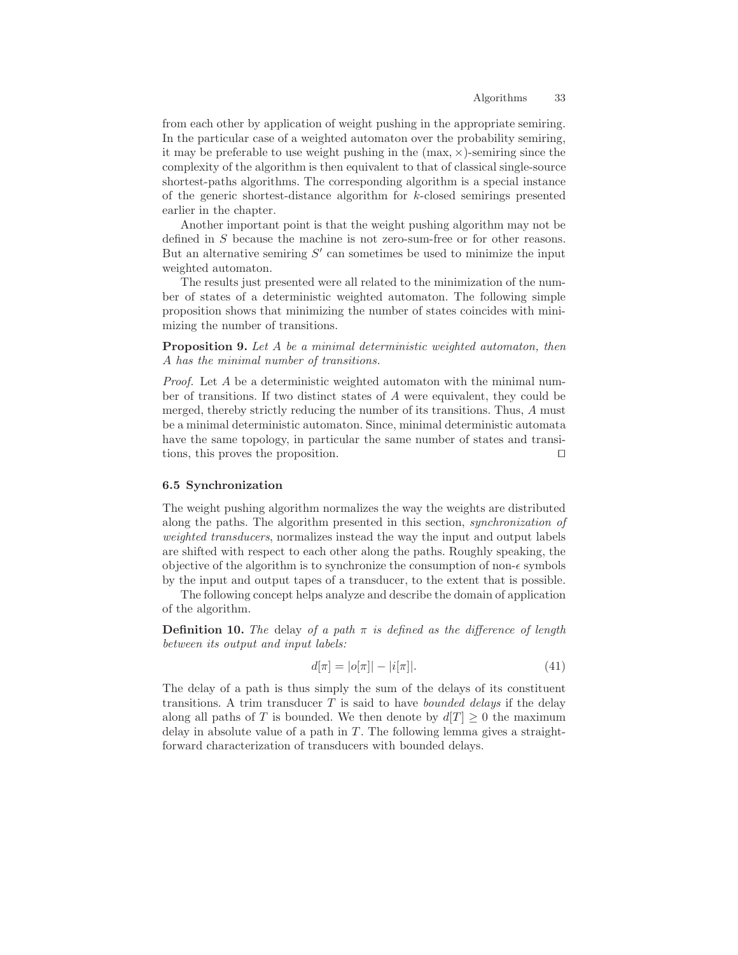from each other by application of weight pushing in the appropriate semiring. In the particular case of a weighted automaton over the probability semiring, it may be preferable to use weight pushing in the  $(\text{max}, \times)$ -semiring since the complexity of the algorithm is then equivalent to that of classical single-source shortest-paths algorithms. The corresponding algorithm is a special instance of the generic shortest-distance algorithm for k-closed semirings presented earlier in the chapter.

Another important point is that the weight pushing algorithm may not be defined in S because the machine is not zero-sum-free or for other reasons. But an alternative semiring  $S'$  can sometimes be used to minimize the input weighted automaton.

The results just presented were all related to the minimization of the number of states of a deterministic weighted automaton. The following simple proposition shows that minimizing the number of states coincides with minimizing the number of transitions.

**Proposition 9.** Let  $A$  be a minimal deterministic weighted automaton, then A has the minimal number of transitions.

Proof. Let A be a deterministic weighted automaton with the minimal number of transitions. If two distinct states of A were equivalent, they could be merged, thereby strictly reducing the number of its transitions. Thus, A must be a minimal deterministic automaton. Since, minimal deterministic automata have the same topology, in particular the same number of states and transitions, this proves the proposition. ⊓⊔

#### 6.5 Synchronization

The weight pushing algorithm normalizes the way the weights are distributed along the paths. The algorithm presented in this section, synchronization of weighted transducers, normalizes instead the way the input and output labels are shifted with respect to each other along the paths. Roughly speaking, the objective of the algorithm is to synchronize the consumption of non- $\epsilon$  symbols by the input and output tapes of a transducer, to the extent that is possible.

The following concept helps analyze and describe the domain of application of the algorithm.

**Definition 10.** The delay of a path  $\pi$  is defined as the difference of length between its output and input labels:

$$
d[\pi] = |o[\pi]| - |i[\pi]|. \tag{41}
$$

The delay of a path is thus simply the sum of the delays of its constituent transitions. A trim transducer  $T$  is said to have *bounded delays* if the delay along all paths of T is bounded. We then denote by  $d[T] \geq 0$  the maximum delay in absolute value of a path in  $T$ . The following lemma gives a straightforward characterization of transducers with bounded delays.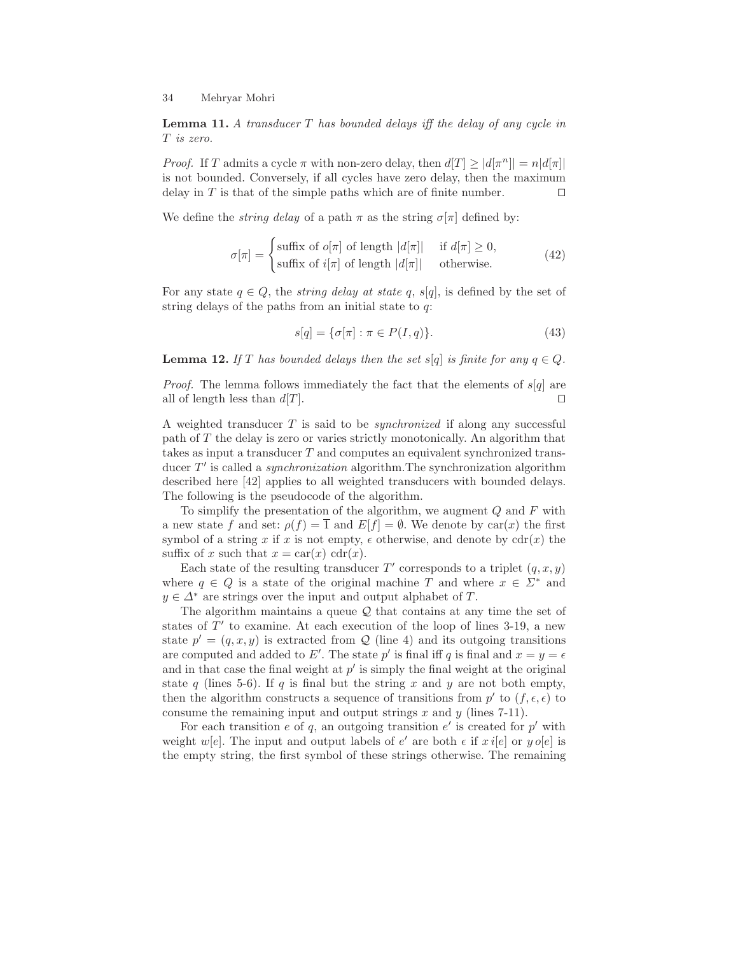34 Mehryar Mohri

Lemma 11. A transducer T has bounded delays iff the delay of any cycle in T is zero.

*Proof.* If T admits a cycle  $\pi$  with non-zero delay, then  $d[T] \geq |d[\pi^n]| = n|d[\pi]|$ is not bounded. Conversely, if all cycles have zero delay, then the maximum delay in T is that of the simple paths which are of finite number.  $□$ 

We define the *string delay* of a path  $\pi$  as the string  $\sigma[\pi]$  defined by:

$$
\sigma[\pi] = \begin{cases} \text{suffix of } o[\pi] \text{ of length } |d[\pi]| & \text{if } d[\pi] \ge 0, \\ \text{suffix of } i[\pi] \text{ of length } |d[\pi]| & \text{otherwise.} \end{cases} \tag{42}
$$

For any state  $q \in Q$ , the *string delay at state q*,  $s[q]$ , is defined by the set of string delays of the paths from an initial state to  $q$ .

$$
s[q] = \{\sigma[\pi] : \pi \in P(I, q)\}.
$$
\n
$$
(43)
$$

**Lemma 12.** If T has bounded delays then the set s[q] is finite for any  $q \in Q$ .

*Proof.* The lemma follows immediately the fact that the elements of  $s[q]$  are all of length less than  $d[T]$ .

A weighted transducer  $T$  is said to be *synchronized* if along any successful path of T the delay is zero or varies strictly monotonically. An algorithm that takes as input a transducer T and computes an equivalent synchronized transducer T' is called a *synchronization* algorithm. The synchronization algorithm described here [42] applies to all weighted transducers with bounded delays. The following is the pseudocode of the algorithm.

To simplify the presentation of the algorithm, we augment  $Q$  and  $F$  with a new state f and set:  $\rho(f) = \overline{1}$  and  $E[f] = \emptyset$ . We denote by  $\text{car}(x)$  the first symbol of a string x if x is not empty,  $\epsilon$  otherwise, and denote by  $\text{cdr}(x)$  the suffix of x such that  $x = \text{car}(x) \text{cdr}(x)$ .

Each state of the resulting transducer  $T'$  corresponds to a triplet  $(q, x, y)$ where  $q \in Q$  is a state of the original machine T and where  $x \in \Sigma^*$  and  $y \in \Delta^*$  are strings over the input and output alphabet of T.

The algorithm maintains a queue  $\mathcal Q$  that contains at any time the set of states of  $T'$  to examine. At each execution of the loop of lines 3-19, a new state  $p' = (q, x, y)$  is extracted from Q (line 4) and its outgoing transitions are computed and added to E'. The state p' is final iff q is final and  $x = y = \epsilon$ and in that case the final weight at  $p'$  is simply the final weight at the original state q (lines 5-6). If q is final but the string x and y are not both empty, then the algorithm constructs a sequence of transitions from  $p'$  to  $(f, \epsilon, \epsilon)$  to consume the remaining input and output strings x and  $y$  (lines 7-11).

For each transition e of q, an outgoing transition  $e'$  is created for  $p'$  with weight  $w[e]$ . The input and output labels of  $e'$  are both  $\epsilon$  if  $x i[e]$  or  $y o[e]$  is the empty string, the first symbol of these strings otherwise. The remaining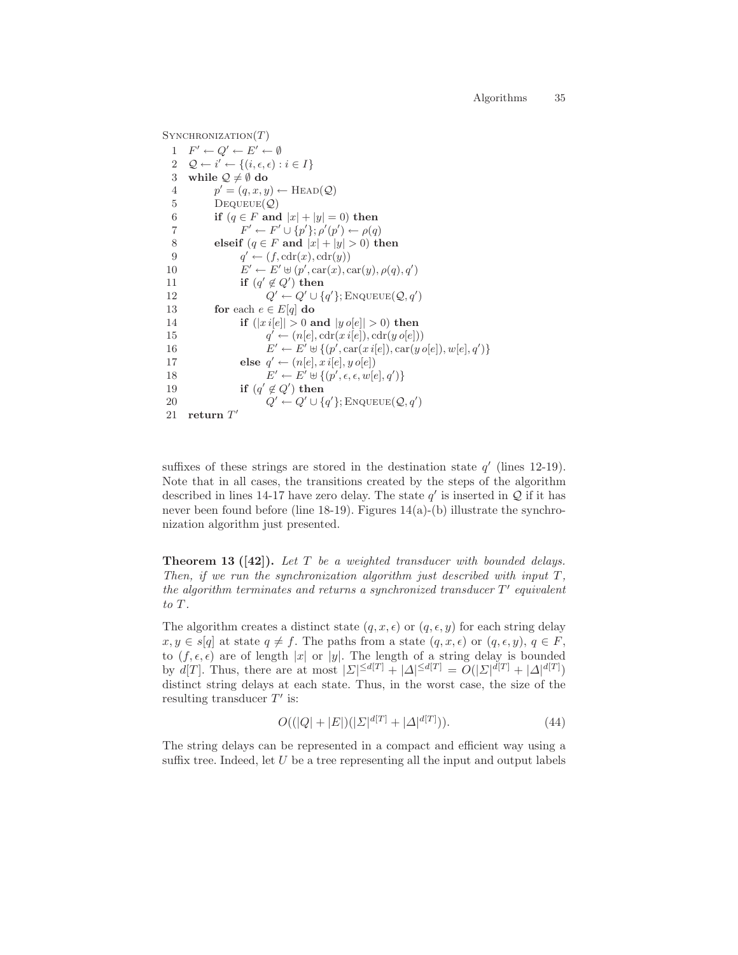$SynCHRONIZATION(T)$ 1  $F' \leftarrow Q' \leftarrow E' \leftarrow \emptyset$ 2  $Q \leftarrow i' \leftarrow \{(i, \epsilon, \epsilon) : i \in I\}$ 3 while  $\mathcal{Q} \neq \emptyset$  do 4  $p' = (q, x, y) \leftarrow \text{HEAD}(\mathcal{Q})$ 5 DEQUEUE $(\mathcal{Q})$ 6 if  $(q \in F \text{ and } |x| + |y| = 0)$  then 7 F  $\gamma' \leftarrow F' \cup \{p'\}; \rho'(p') \leftarrow \rho(q)$ 8 elseif  $(q \in F \text{ and } |x| + |y| > 0)$  then 9  $q$  $q' \leftarrow (f, \text{cdr}(x), \text{cdr}(y))$  $10$  $y' \leftarrow E' \uplus (p', \text{car}(x), \text{car}(y), \rho(q), q')$ 11 if  $(q' \notin Q')$  then 12 Q  $\mathcal{O}' \leftarrow Q' \cup \{q'\};$  Enqueue $(\mathcal{Q}, q')$ 13 for each  $e \in E[q]$  do 14 **if**  $(|x i[e]| > 0$  and  $|y o[e]| > 0$ ) then  $15$  q  $q' \leftarrow (n[e], \text{cdr}(x i[e]), \text{cdr}(y o[e]))$  $16$  E  $y' \leftarrow E' \cup \{(p', \text{car}(x i [e]), \text{car}(y o [e]), w [e], q')\}$ 17 **else**  $q' \leftarrow (n[e], x[i[e], y[i])$ 18  $E' \leftarrow E' \uplus \{(p', \epsilon, \epsilon, w[e], q')\}$ 19 if  $(q' \notin Q')$  then 20 Q  $\mathcal{O}' \leftarrow Q' \cup \{q'\};$  Enqueue $(\mathcal{Q}, q')$ 21 return  $T'$ 

suffixes of these strings are stored in the destination state  $q'$  (lines 12-19). Note that in all cases, the transitions created by the steps of the algorithm described in lines 14-17 have zero delay. The state  $q'$  is inserted in  $\mathcal Q$  if it has never been found before (line  $18-19$ ). Figures  $14(a)$ -(b) illustrate the synchronization algorithm just presented.

**Theorem 13 ([42]).** Let  $T$  be a weighted transducer with bounded delays. Then, if we run the synchronization algorithm just described with input  $T$ , the algorithm terminates and returns a synchronized transducer  $T'$  equivalent  $to T$ .

The algorithm creates a distinct state  $(q, x, \epsilon)$  or  $(q, \epsilon, y)$  for each string delay  $x, y \in s[q]$  at state  $q \neq f$ . The paths from a state  $(q, x, \epsilon)$  or  $(q, \epsilon, y), q \in F$ , to  $(f, \epsilon, \epsilon)$  are of length |x| or |y|. The length of a string delay is bounded by  $d[T]$ . Thus, there are at most  $|\Sigma|^{\leq d[T]} + |\Delta|^{\leq d[T]} = O(|\Sigma|^{d[T]} + |\Delta|^{d[T]})$ distinct string delays at each state. Thus, in the worst case, the size of the resulting transducer  $T'$  is:

$$
O((|Q| + |E|)(|\Sigma|^{d[T]} + |\Delta|^{d[T]})). \tag{44}
$$

The string delays can be represented in a compact and efficient way using a suffix tree. Indeed, let  $U$  be a tree representing all the input and output labels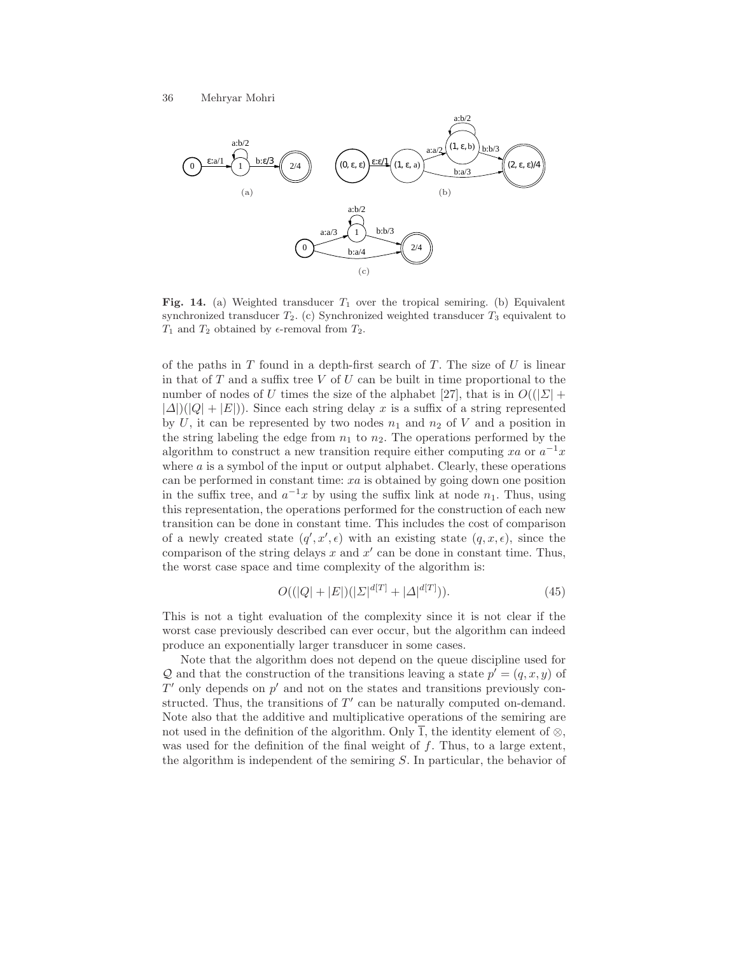

Fig. 14. (a) Weighted transducer  $T_1$  over the tropical semiring. (b) Equivalent synchronized transducer  $T_2$ . (c) Synchronized weighted transducer  $T_3$  equivalent to  $T_1$  and  $T_2$  obtained by  $\epsilon$ -removal from  $T_2$ .

of the paths in  $T$  found in a depth-first search of  $T$ . The size of  $U$  is linear in that of  $T$  and a suffix tree  $V$  of  $U$  can be built in time proportional to the number of nodes of U times the size of the alphabet [27], that is in  $O((\Sigma) +$  $|\Delta|$ ( $|Q| + |E|$ ). Since each string delay x is a suffix of a string represented by U, it can be represented by two nodes  $n_1$  and  $n_2$  of V and a position in the string labeling the edge from  $n_1$  to  $n_2$ . The operations performed by the algorithm to construct a new transition require either computing xa or  $a^{-1}x$ where  $\alpha$  is a symbol of the input or output alphabet. Clearly, these operations can be performed in constant time: xa is obtained by going down one position in the suffix tree, and  $a^{-1}x$  by using the suffix link at node  $n_1$ . Thus, using this representation, the operations performed for the construction of each new transition can be done in constant time. This includes the cost of comparison of a newly created state  $(q', x', \epsilon)$  with an existing state  $(q, x, \epsilon)$ , since the comparison of the string delays  $x$  and  $x'$  can be done in constant time. Thus, the worst case space and time complexity of the algorithm is:

$$
O((|Q| + |E|)(|\Sigma|^{d[T]} + |\Delta|^{d[T]})). \tag{45}
$$

This is not a tight evaluation of the complexity since it is not clear if the worst case previously described can ever occur, but the algorithm can indeed produce an exponentially larger transducer in some cases.

Note that the algorithm does not depend on the queue discipline used for Q and that the construction of the transitions leaving a state  $p' = (q, x, y)$  of  $T'$  only depends on  $p'$  and not on the states and transitions previously constructed. Thus, the transitions of  $T'$  can be naturally computed on-demand. Note also that the additive and multiplicative operations of the semiring are not used in the definition of the algorithm. Only  $\overline{1}$ , the identity element of ⊗, was used for the definition of the final weight of  $f$ . Thus, to a large extent, the algorithm is independent of the semiring S. In particular, the behavior of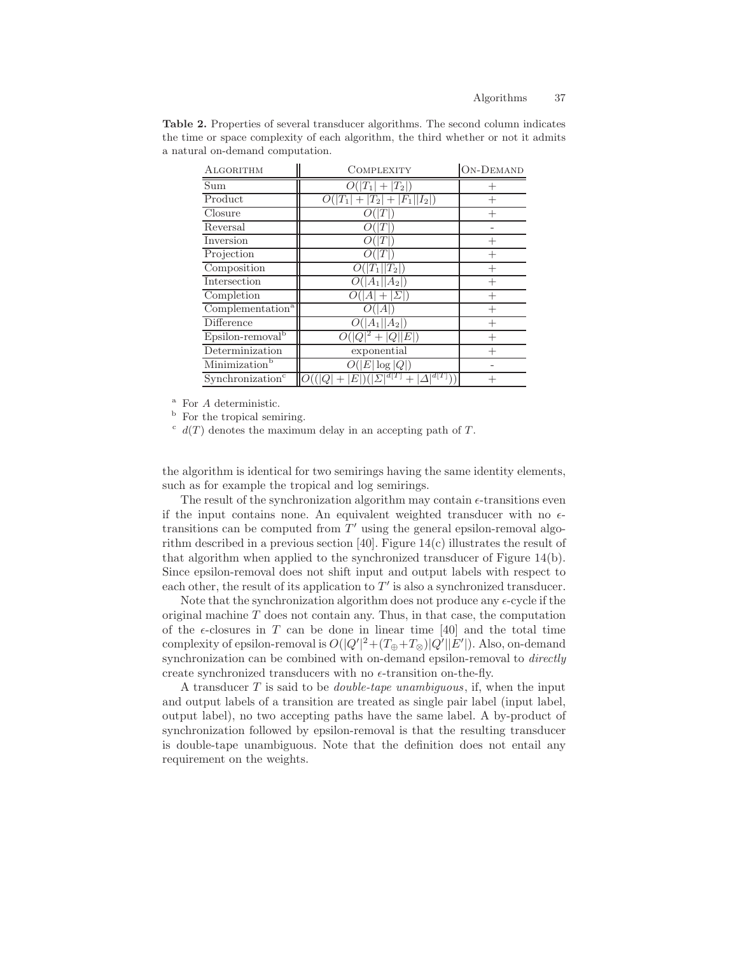Table 2. Properties of several transducer algorithms. The second column indicates the time or space complexity of each algorithm, the third whether or not it admits a natural on-demand computation.

| <b>ALGORITHM</b>                | <b>COMPLEXITY</b>          | <b>ON-DEMAND</b> |
|---------------------------------|----------------------------|------------------|
| Sum                             | $T_2$                      |                  |
| Product                         | $F_1  I_2  $<br>$\Gamma_2$ |                  |
| Closure                         |                            |                  |
| Reversal                        |                            |                  |
| Inversion                       |                            |                  |
| Projection                      |                            |                  |
| Composition                     | $\left T_{2}\right $       | $^+$             |
| Intersection                    | A2                         |                  |
| Completion                      |                            |                  |
| Complementation <sup>a</sup>    |                            |                  |
| Difference                      | Α2                         |                  |
| $Epsilon$ -removal <sup>b</sup> | E                          |                  |
| Determinization                 | exponential                |                  |
| Minimization <sup>b</sup>       | $O( E \log Q )$            |                  |
| Synchronization <sup>c</sup>    | d T                        |                  |

<sup>a</sup> For A deterministic.

<sup>b</sup> For the tropical semiring.

 $\epsilon$  d(T) denotes the maximum delay in an accepting path of T.

the algorithm is identical for two semirings having the same identity elements, such as for example the tropical and log semirings.

The result of the synchronization algorithm may contain  $\epsilon$ -transitions even if the input contains none. An equivalent weighted transducer with no  $\epsilon$ transitions can be computed from  $T'$  using the general epsilon-removal algorithm described in a previous section [40]. Figure 14(c) illustrates the result of that algorithm when applied to the synchronized transducer of Figure 14(b). Since epsilon-removal does not shift input and output labels with respect to each other, the result of its application to  $T'$  is also a synchronized transducer.

Note that the synchronization algorithm does not produce any  $\epsilon$ -cycle if the original machine  $T$  does not contain any. Thus, in that case, the computation of the  $\epsilon$ -closures in T can be done in linear time [40] and the total time complexity of epsilon-removal is  $O(|Q'|^2 + (T_{\oplus} + T_{\otimes})|Q'||E'|)$ . Also, on-demand synchronization can be combined with on-demand epsilon-removal to *directly* create synchronized transducers with no  $\epsilon$ -transition on-the-fly.

A transducer T is said to be double-tape unambiguous, if, when the input and output labels of a transition are treated as single pair label (input label, output label), no two accepting paths have the same label. A by-product of synchronization followed by epsilon-removal is that the resulting transducer is double-tape unambiguous. Note that the definition does not entail any requirement on the weights.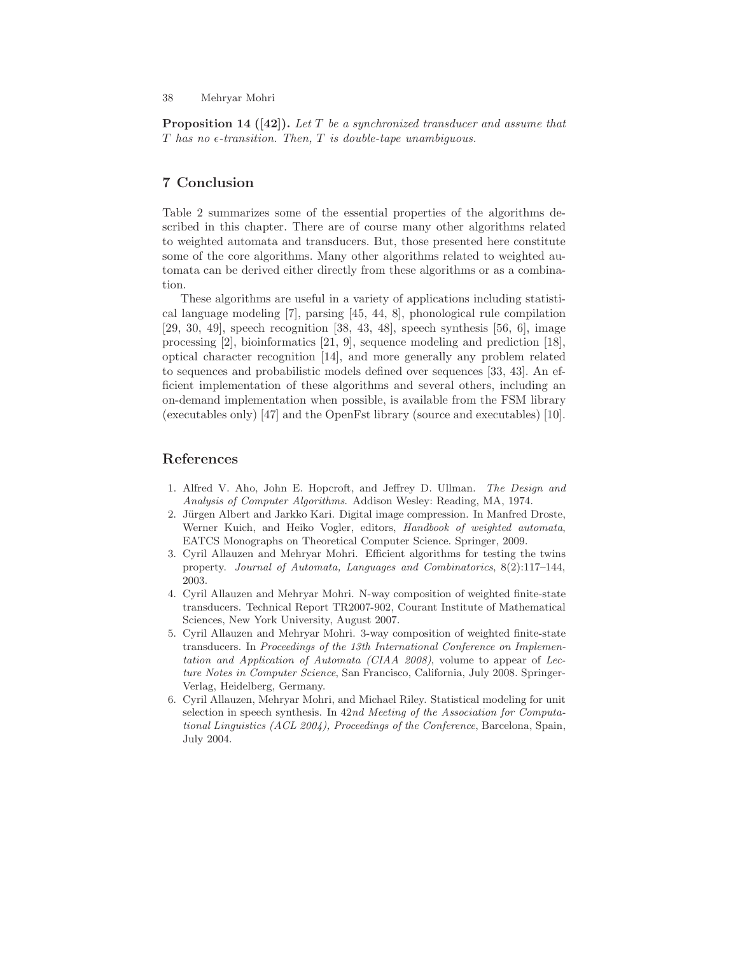#### 38 Mehryar Mohri

**Proposition 14 ([42]).** Let T be a synchronized transducer and assume that  $T$  has no  $\epsilon$ -transition. Then,  $T$  is double-tape unambiguous.

# 7 Conclusion

Table 2 summarizes some of the essential properties of the algorithms described in this chapter. There are of course many other algorithms related to weighted automata and transducers. But, those presented here constitute some of the core algorithms. Many other algorithms related to weighted automata can be derived either directly from these algorithms or as a combination.

These algorithms are useful in a variety of applications including statistical language modeling [7], parsing [45, 44, 8], phonological rule compilation [29, 30, 49], speech recognition [38, 43, 48], speech synthesis [56, 6], image processing [2], bioinformatics [21, 9], sequence modeling and prediction [18], optical character recognition [14], and more generally any problem related to sequences and probabilistic models defined over sequences [33, 43]. An efficient implementation of these algorithms and several others, including an on-demand implementation when possible, is available from the FSM library (executables only) [47] and the OpenFst library (source and executables) [10].

# References

- 1. Alfred V. Aho, John E. Hopcroft, and Jeffrey D. Ullman. The Design and Analysis of Computer Algorithms. Addison Wesley: Reading, MA, 1974.
- 2. Jürgen Albert and Jarkko Kari. Digital image compression. In Manfred Droste, Werner Kuich, and Heiko Vogler, editors, Handbook of weighted automata, EATCS Monographs on Theoretical Computer Science. Springer, 2009.
- 3. Cyril Allauzen and Mehryar Mohri. Efficient algorithms for testing the twins property. Journal of Automata, Languages and Combinatorics, 8(2):117–144, 2003.
- 4. Cyril Allauzen and Mehryar Mohri. N-way composition of weighted finite-state transducers. Technical Report TR2007-902, Courant Institute of Mathematical Sciences, New York University, August 2007.
- 5. Cyril Allauzen and Mehryar Mohri. 3-way composition of weighted finite-state transducers. In Proceedings of the 13th International Conference on Implementation and Application of Automata (CIAA 2008), volume to appear of Lecture Notes in Computer Science, San Francisco, California, July 2008. Springer-Verlag, Heidelberg, Germany.
- 6. Cyril Allauzen, Mehryar Mohri, and Michael Riley. Statistical modeling for unit selection in speech synthesis. In 42nd Meeting of the Association for Computational Linguistics (ACL 2004), Proceedings of the Conference, Barcelona, Spain, July 2004.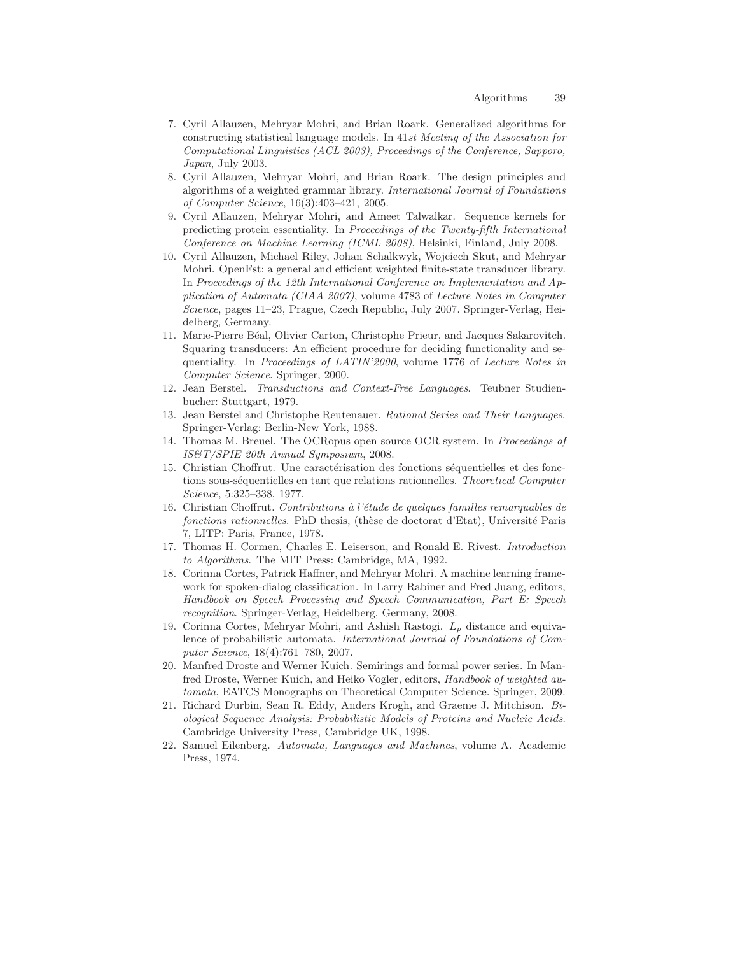- 7. Cyril Allauzen, Mehryar Mohri, and Brian Roark. Generalized algorithms for constructing statistical language models. In 41st Meeting of the Association for Computational Linguistics (ACL 2003), Proceedings of the Conference, Sapporo, Japan, July 2003.
- 8. Cyril Allauzen, Mehryar Mohri, and Brian Roark. The design principles and algorithms of a weighted grammar library. International Journal of Foundations of Computer Science, 16(3):403–421, 2005.
- 9. Cyril Allauzen, Mehryar Mohri, and Ameet Talwalkar. Sequence kernels for predicting protein essentiality. In Proceedings of the Twenty-fifth International Conference on Machine Learning (ICML 2008), Helsinki, Finland, July 2008.
- 10. Cyril Allauzen, Michael Riley, Johan Schalkwyk, Wojciech Skut, and Mehryar Mohri. OpenFst: a general and efficient weighted finite-state transducer library. In Proceedings of the 12th International Conference on Implementation and Application of Automata (CIAA 2007), volume 4783 of Lecture Notes in Computer Science, pages 11–23, Prague, Czech Republic, July 2007. Springer-Verlag, Heidelberg, Germany.
- 11. Marie-Pierre B´eal, Olivier Carton, Christophe Prieur, and Jacques Sakarovitch. Squaring transducers: An efficient procedure for deciding functionality and sequentiality. In Proceedings of LATIN'2000, volume 1776 of Lecture Notes in Computer Science. Springer, 2000.
- 12. Jean Berstel. Transductions and Context-Free Languages. Teubner Studienbucher: Stuttgart, 1979.
- 13. Jean Berstel and Christophe Reutenauer. Rational Series and Their Languages. Springer-Verlag: Berlin-New York, 1988.
- 14. Thomas M. Breuel. The OCRopus open source OCR system. In Proceedings of IS&T/SPIE 20th Annual Symposium, 2008.
- 15. Christian Choffrut. Une caractérisation des fonctions séquentielles et des fonctions sous-séquentielles en tant que relations rationnelles. Theoretical Computer Science, 5:325–338, 1977.
- 16. Christian Choffrut. Contributions à l'étude de quelques familles remarquables de fonctions rationnelles. PhD thesis, (thèse de doctorat d'Etat), Université Paris 7, LITP: Paris, France, 1978.
- 17. Thomas H. Cormen, Charles E. Leiserson, and Ronald E. Rivest. Introduction to Algorithms. The MIT Press: Cambridge, MA, 1992.
- 18. Corinna Cortes, Patrick Haffner, and Mehryar Mohri. A machine learning framework for spoken-dialog classification. In Larry Rabiner and Fred Juang, editors, Handbook on Speech Processing and Speech Communication, Part E: Speech recognition. Springer-Verlag, Heidelberg, Germany, 2008.
- 19. Corinna Cortes, Mehryar Mohri, and Ashish Rastogi.  $L_p$  distance and equivalence of probabilistic automata. International Journal of Foundations of Computer Science, 18(4):761–780, 2007.
- 20. Manfred Droste and Werner Kuich. Semirings and formal power series. In Manfred Droste, Werner Kuich, and Heiko Vogler, editors, Handbook of weighted automata, EATCS Monographs on Theoretical Computer Science. Springer, 2009.
- 21. Richard Durbin, Sean R. Eddy, Anders Krogh, and Graeme J. Mitchison. Biological Sequence Analysis: Probabilistic Models of Proteins and Nucleic Acids. Cambridge University Press, Cambridge UK, 1998.
- 22. Samuel Eilenberg. Automata, Languages and Machines, volume A. Academic Press, 1974.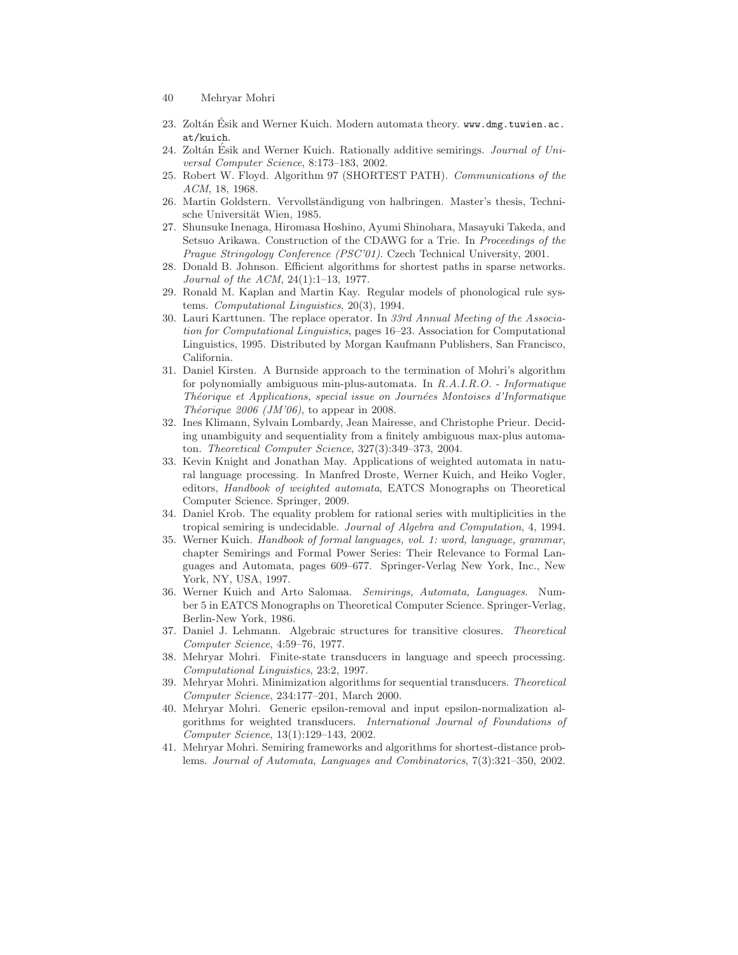- 40 Mehryar Mohri
- 23. Zoltán Ésik and Werner Kuich. Modern automata theory. www.dmg.tuwien.ac. at/kuich.
- 24. Zoltán Esik and Werner Kuich. Rationally additive semirings. *Journal of Uni*versal Computer Science, 8:173–183, 2002.
- 25. Robert W. Floyd. Algorithm 97 (SHORTEST PATH). Communications of the ACM, 18, 1968.
- 26. Martin Goldstern. Vervollständigung von halbringen. Master's thesis, Technische Universität Wien, 1985.
- 27. Shunsuke Inenaga, Hiromasa Hoshino, Ayumi Shinohara, Masayuki Takeda, and Setsuo Arikawa. Construction of the CDAWG for a Trie. In Proceedings of the Prague Stringology Conference (PSC'01). Czech Technical University, 2001.
- 28. Donald B. Johnson. Efficient algorithms for shortest paths in sparse networks. Journal of the ACM, 24(1):1–13, 1977.
- 29. Ronald M. Kaplan and Martin Kay. Regular models of phonological rule systems. Computational Linguistics, 20(3), 1994.
- 30. Lauri Karttunen. The replace operator. In 33rd Annual Meeting of the Association for Computational Linguistics, pages 16–23. Association for Computational Linguistics, 1995. Distributed by Morgan Kaufmann Publishers, San Francisco, California.
- 31. Daniel Kirsten. A Burnside approach to the termination of Mohri's algorithm for polynomially ambiguous min-plus-automata. In R.A.I.R.O. - Informatique Théorique et Applications, special issue on Journées Montoises d'Informatique Théorique  $2006$  (JM'06), to appear in 2008.
- 32. Ines Klimann, Sylvain Lombardy, Jean Mairesse, and Christophe Prieur. Deciding unambiguity and sequentiality from a finitely ambiguous max-plus automaton. Theoretical Computer Science, 327(3):349–373, 2004.
- 33. Kevin Knight and Jonathan May. Applications of weighted automata in natural language processing. In Manfred Droste, Werner Kuich, and Heiko Vogler, editors, Handbook of weighted automata, EATCS Monographs on Theoretical Computer Science. Springer, 2009.
- 34. Daniel Krob. The equality problem for rational series with multiplicities in the tropical semiring is undecidable. Journal of Algebra and Computation, 4, 1994.
- 35. Werner Kuich. Handbook of formal languages, vol. 1: word, language, grammar, chapter Semirings and Formal Power Series: Their Relevance to Formal Languages and Automata, pages 609–677. Springer-Verlag New York, Inc., New York, NY, USA, 1997.
- 36. Werner Kuich and Arto Salomaa. Semirings, Automata, Languages. Number 5 in EATCS Monographs on Theoretical Computer Science. Springer-Verlag, Berlin-New York, 1986.
- 37. Daniel J. Lehmann. Algebraic structures for transitive closures. Theoretical Computer Science, 4:59–76, 1977.
- 38. Mehryar Mohri. Finite-state transducers in language and speech processing. Computational Linguistics, 23:2, 1997.
- 39. Mehryar Mohri. Minimization algorithms for sequential transducers. Theoretical Computer Science, 234:177–201, March 2000.
- 40. Mehryar Mohri. Generic epsilon-removal and input epsilon-normalization algorithms for weighted transducers. International Journal of Foundations of Computer Science, 13(1):129–143, 2002.
- 41. Mehryar Mohri. Semiring frameworks and algorithms for shortest-distance problems. Journal of Automata, Languages and Combinatorics, 7(3):321–350, 2002.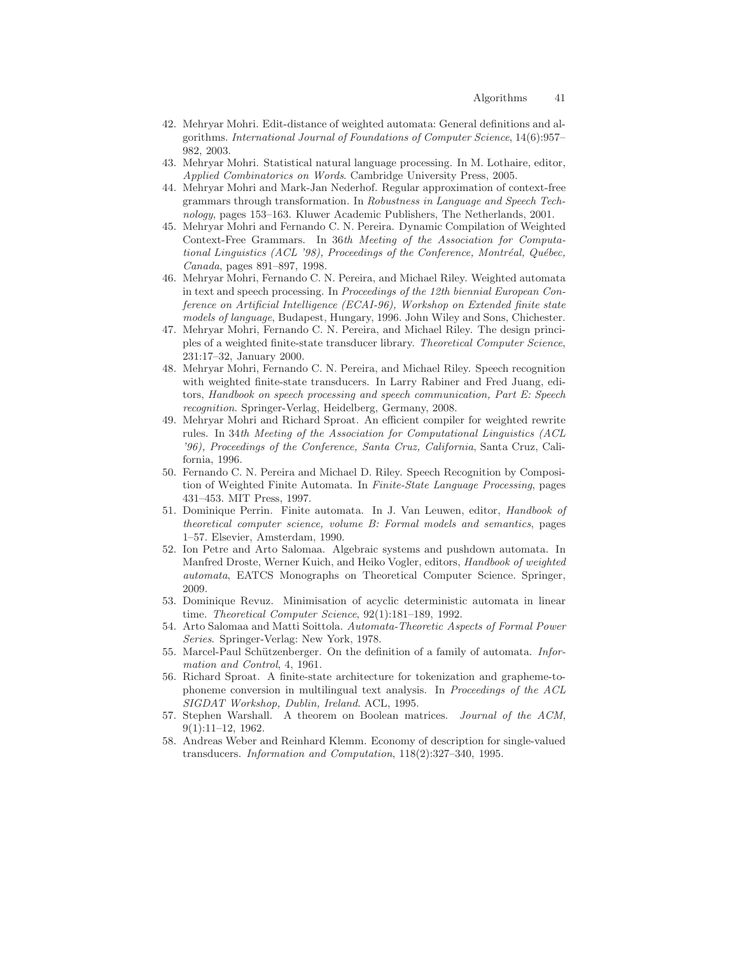- 42. Mehryar Mohri. Edit-distance of weighted automata: General definitions and algorithms. International Journal of Foundations of Computer Science, 14(6):957– 982, 2003.
- 43. Mehryar Mohri. Statistical natural language processing. In M. Lothaire, editor, Applied Combinatorics on Words. Cambridge University Press, 2005.
- 44. Mehryar Mohri and Mark-Jan Nederhof. Regular approximation of context-free grammars through transformation. In Robustness in Language and Speech Technology, pages 153–163. Kluwer Academic Publishers, The Netherlands, 2001.
- 45. Mehryar Mohri and Fernando C. N. Pereira. Dynamic Compilation of Weighted Context-Free Grammars. In 36th Meeting of the Association for Computational Linguistics  $(ACL'98)$ , Proceedings of the Conference, Montréal, Québec, Canada, pages 891–897, 1998.
- 46. Mehryar Mohri, Fernando C. N. Pereira, and Michael Riley. Weighted automata in text and speech processing. In Proceedings of the 12th biennial European Conference on Artificial Intelligence (ECAI-96), Workshop on Extended finite state models of language, Budapest, Hungary, 1996. John Wiley and Sons, Chichester.
- 47. Mehryar Mohri, Fernando C. N. Pereira, and Michael Riley. The design principles of a weighted finite-state transducer library. Theoretical Computer Science, 231:17–32, January 2000.
- 48. Mehryar Mohri, Fernando C. N. Pereira, and Michael Riley. Speech recognition with weighted finite-state transducers. In Larry Rabiner and Fred Juang, editors, Handbook on speech processing and speech communication, Part E: Speech recognition. Springer-Verlag, Heidelberg, Germany, 2008.
- 49. Mehryar Mohri and Richard Sproat. An efficient compiler for weighted rewrite rules. In 34th Meeting of the Association for Computational Linguistics (ACL '96), Proceedings of the Conference, Santa Cruz, California, Santa Cruz, California, 1996.
- 50. Fernando C. N. Pereira and Michael D. Riley. Speech Recognition by Composition of Weighted Finite Automata. In Finite-State Language Processing, pages 431–453. MIT Press, 1997.
- 51. Dominique Perrin. Finite automata. In J. Van Leuwen, editor, Handbook of theoretical computer science, volume B: Formal models and semantics, pages 1–57. Elsevier, Amsterdam, 1990.
- 52. Ion Petre and Arto Salomaa. Algebraic systems and pushdown automata. In Manfred Droste, Werner Kuich, and Heiko Vogler, editors, Handbook of weighted automata, EATCS Monographs on Theoretical Computer Science. Springer, 2009.
- 53. Dominique Revuz. Minimisation of acyclic deterministic automata in linear time. Theoretical Computer Science, 92(1):181–189, 1992.
- 54. Arto Salomaa and Matti Soittola. Automata-Theoretic Aspects of Formal Power Series. Springer-Verlag: New York, 1978.
- 55. Marcel-Paul Schützenberger. On the definition of a family of automata. *Infor*mation and Control, 4, 1961.
- 56. Richard Sproat. A finite-state architecture for tokenization and grapheme-tophoneme conversion in multilingual text analysis. In Proceedings of the ACL SIGDAT Workshop, Dublin, Ireland. ACL, 1995.
- 57. Stephen Warshall. A theorem on Boolean matrices. Journal of the ACM, 9(1):11–12, 1962.
- 58. Andreas Weber and Reinhard Klemm. Economy of description for single-valued transducers. Information and Computation, 118(2):327–340, 1995.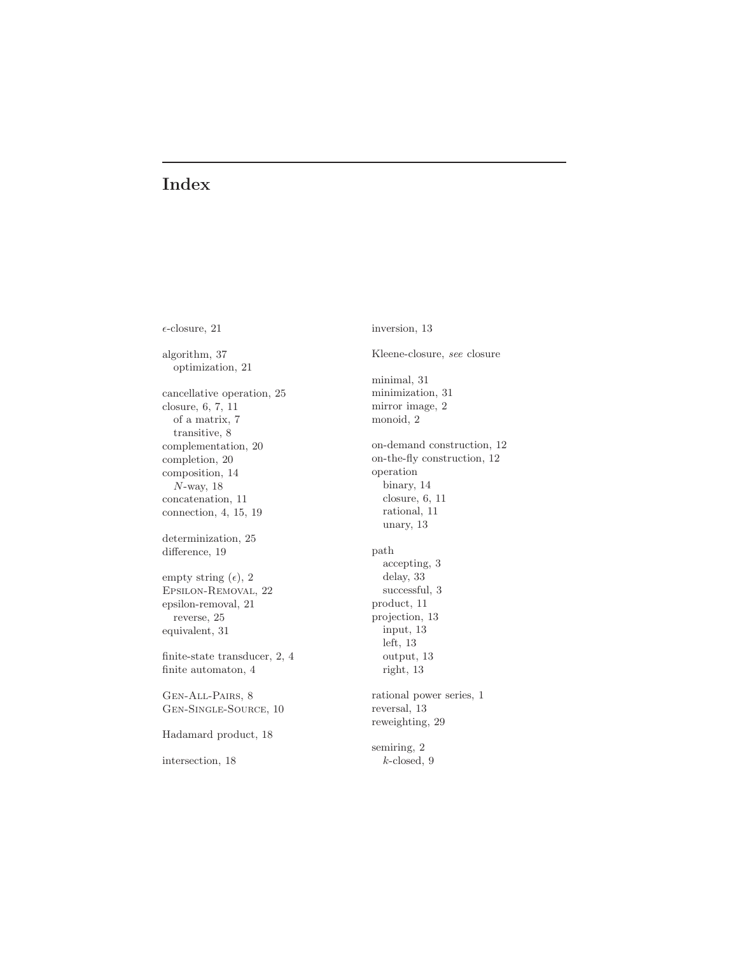# Index

 $\epsilon$ -closure, 21 algorithm, 37 optimization, 21 cancellative operation, 25 closure, 6, 7, 11 of a matrix, 7 transitive, 8 complementation, 20 completion, 20 composition, 14 N-way, 18 concatenation, 11 connection, 4, 15, 19 determinization, 25 difference, 19 empty string  $(\epsilon)$ , 2 Epsilon-Removal, 22 epsilon-removal, 21 reverse, 25 equivalent, 31 finite-state transducer, 2, 4 finite automaton, 4 Gen-All-Pairs, 8 Gen-Single-Source, 10 Hadamard product, 18 intersection, 18

inversion, 13 Kleene-closure, see closure minimal, 31 minimization, 31 mirror image, 2 monoid, 2 on-demand construction, 12 on-the-fly construction, 12 operation binary, 14 closure, 6, 11 rational, 11 unary, 13 path accepting, 3 delay, 33 successful, 3 product, 11 projection, 13 input, 13 left, 13 output, 13 right, 13 rational power series, 1 reversal, 13 reweighting, 29 semiring, 2

 $k$ -closed, 9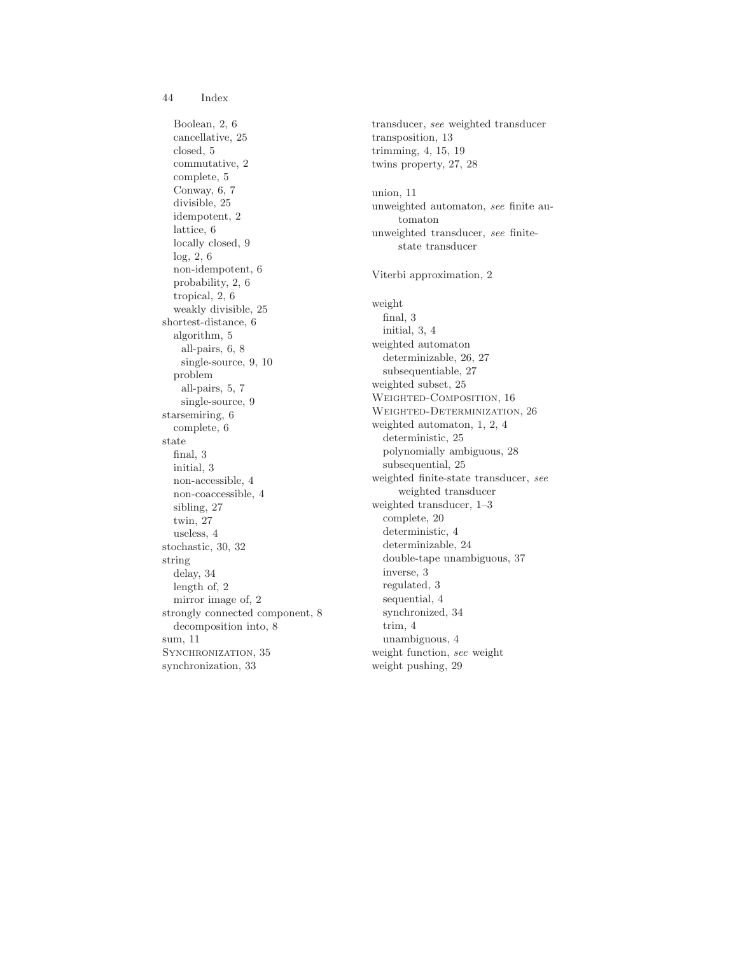Boolean, 2, 6 cancellative, 25 closed, 5 commutative, 2 complete, 5 Conway, 6, 7 divisible, 25 idempotent, 2 lattice, 6 locally closed, 9 log, 2, 6 non-idempotent, 6 probability, 2, 6 tropical, 2, 6 weakly divisible, 25 shortest-distance, 6 algorithm, 5 all-pairs, 6, 8 single-source, 9, 10 problem all-pairs, 5, 7 single-source, 9 starsemiring, 6 complete, 6 state final, 3 initial, 3 non-accessible, 4 non-coaccessible, 4 sibling, 27 twin, 27 useless, 4 stochastic, 30, 32 string delay, 34 length of, 2 mirror image of, 2 strongly connected component, 8 decomposition into, 8 sum, 11 SYNCHRONIZATION, 35 synchronization, 33

transducer, see weighted transducer transposition, 13 trimming, 4, 15, 19 twins property, 27, 28 union, 11 unweighted automaton, see finite automaton unweighted transducer, see finitestate transducer Viterbi approximation, 2 weight final, 3 initial, 3, 4 weighted automaton determinizable, 26, 27 subsequentiable, 27 weighted subset, 25 WEIGHTED-COMPOSITION, 16 WEIGHTED-DETERMINIZATION, 26 weighted automaton, 1, 2, 4 deterministic, 25 polynomially ambiguous, 28 subsequential, 25 weighted finite-state transducer, see weighted transducer weighted transducer, 1–3 complete, 20 deterministic, 4 determinizable, 24 double-tape unambiguous, 37 inverse, 3 regulated, 3 sequential, 4 synchronized, 34 trim, 4 unambiguous, 4 weight function, see weight weight pushing, 29